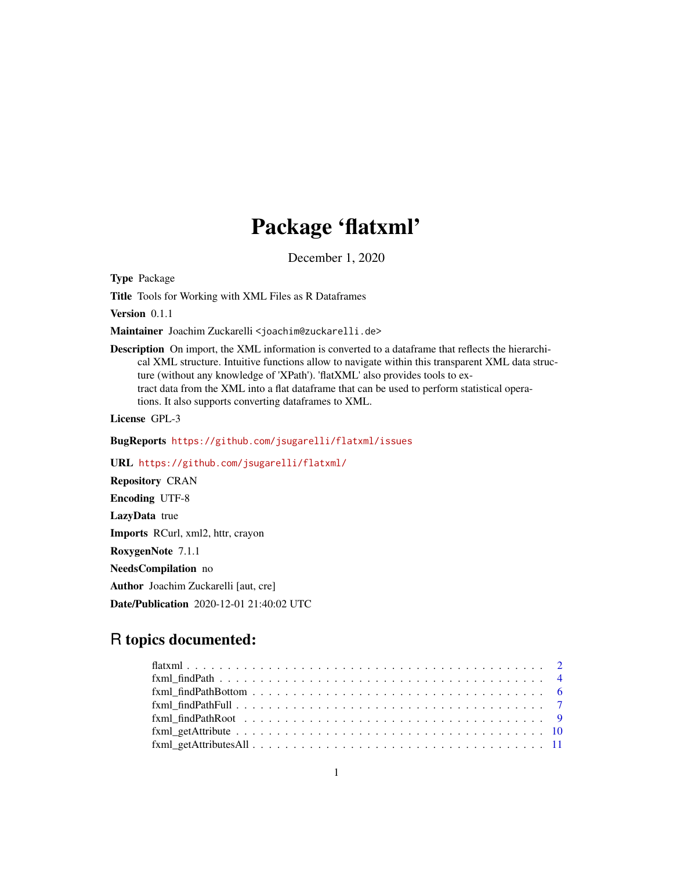# Package 'flatxml'

December 1, 2020

Type Package

Title Tools for Working with XML Files as R Dataframes

Version 0.1.1

Maintainer Joachim Zuckarelli <joachim@zuckarelli.de>

Description On import, the XML information is converted to a dataframe that reflects the hierarchical XML structure. Intuitive functions allow to navigate within this transparent XML data structure (without any knowledge of 'XPath'). 'flatXML' also provides tools to extract data from the XML into a flat dataframe that can be used to perform statistical operations. It also supports converting dataframes to XML.

License GPL-3

BugReports <https://github.com/jsugarelli/flatxml/issues>

URL <https://github.com/jsugarelli/flatxml/>

Repository CRAN Encoding UTF-8 LazyData true Imports RCurl, xml2, httr, crayon RoxygenNote 7.1.1 NeedsCompilation no Author Joachim Zuckarelli [aut, cre] Date/Publication 2020-12-01 21:40:02 UTC

# R topics documented:

| $fxml\_getAttributes All \ldots \ldots \ldots \ldots \ldots \ldots \ldots \ldots \ldots \ldots \ldots \ldots \ldots 11$ |  |
|-------------------------------------------------------------------------------------------------------------------------|--|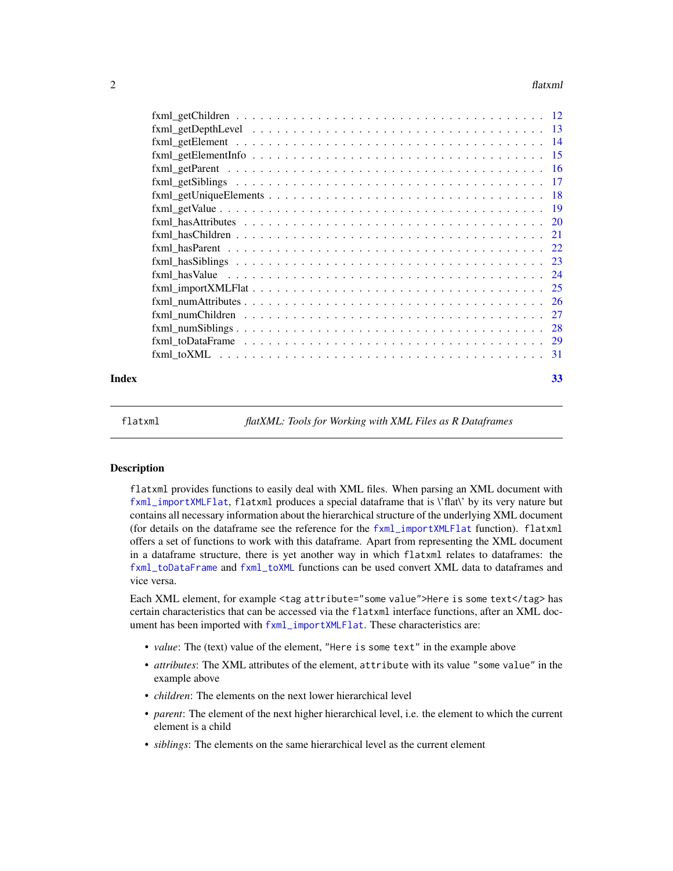#### <span id="page-1-0"></span> $2<sup>2</sup>$

|       | $fxml_toDataFrame \ldots \ldots \ldots \ldots \ldots \ldots \ldots \ldots \ldots \ldots \ldots \ldots \ldots 29$ |    |
|-------|------------------------------------------------------------------------------------------------------------------|----|
|       |                                                                                                                  |    |
| Index |                                                                                                                  | 33 |

flatxml *flatXML: Tools for Working with XML Files as R Dataframes*

#### Description

flatxml provides functions to easily deal with XML files. When parsing an XML document with [fxml\\_importXMLFlat](#page-24-1), flatxml produces a special dataframe that is \'flat\' by its very nature but contains all necessary information about the hierarchical structure of the underlying XML document (for details on the dataframe see the reference for the [fxml\\_importXMLFlat](#page-24-1) function). flatxml offers a set of functions to work with this dataframe. Apart from representing the XML document in a dataframe structure, there is yet another way in which flatxml relates to dataframes: the [fxml\\_toDataFrame](#page-28-1) and [fxml\\_toXML](#page-30-1) functions can be used convert XML data to dataframes and vice versa.

Each XML element, for example <tag attribute="some value">Here is some text</tag> has certain characteristics that can be accessed via the flatxml interface functions, after an XML document has been imported with  $f$ xml\_importXMLFlat. These characteristics are:

- *value*: The (text) value of the element, "Here is some text" in the example above
- *attributes*: The XML attributes of the element, attribute with its value "some value" in the example above
- *children*: The elements on the next lower hierarchical level
- *parent*: The element of the next higher hierarchical level, i.e. the element to which the current element is a child
- *siblings*: The elements on the same hierarchical level as the current element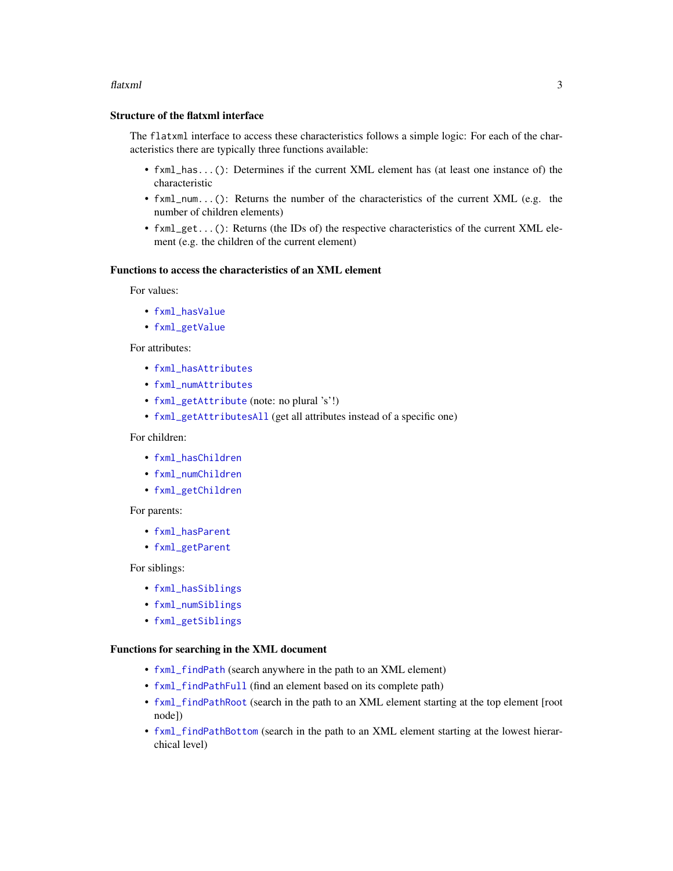#### <span id="page-2-0"></span>flatxml 3

#### Structure of the flatxml interface

The flatxml interface to access these characteristics follows a simple logic: For each of the characteristics there are typically three functions available:

- fxml\_has...(): Determines if the current XML element has (at least one instance of) the characteristic
- fxml\_num...(): Returns the number of the characteristics of the current XML (e.g. the number of children elements)
- fxml\_get...(): Returns (the IDs of) the respective characteristics of the current XML element (e.g. the children of the current element)

#### Functions to access the characteristics of an XML element

For values:

- [fxml\\_hasValue](#page-23-1)
- [fxml\\_getValue](#page-18-1)

#### For attributes:

- [fxml\\_hasAttributes](#page-19-1)
- [fxml\\_numAttributes](#page-25-1)
- [fxml\\_getAttribute](#page-9-1) (note: no plural 's'!)
- [fxml\\_getAttributesAll](#page-10-1) (get all attributes instead of a specific one)

#### For children:

- [fxml\\_hasChildren](#page-20-1)
- [fxml\\_numChildren](#page-26-1)
- [fxml\\_getChildren](#page-11-1)

#### For parents:

- [fxml\\_hasParent](#page-21-1)
- [fxml\\_getParent](#page-15-1)

For siblings:

- [fxml\\_hasSiblings](#page-22-1)
- [fxml\\_numSiblings](#page-27-1)
- [fxml\\_getSiblings](#page-16-1)

#### Functions for searching in the XML document

- [fxml\\_findPath](#page-3-1) (search anywhere in the path to an XML element)
- [fxml\\_findPathFull](#page-6-1) (find an element based on its complete path)
- [fxml\\_findPathRoot](#page-8-1) (search in the path to an XML element starting at the top element [root node])
- [fxml\\_findPathBottom](#page-5-1) (search in the path to an XML element starting at the lowest hierarchical level)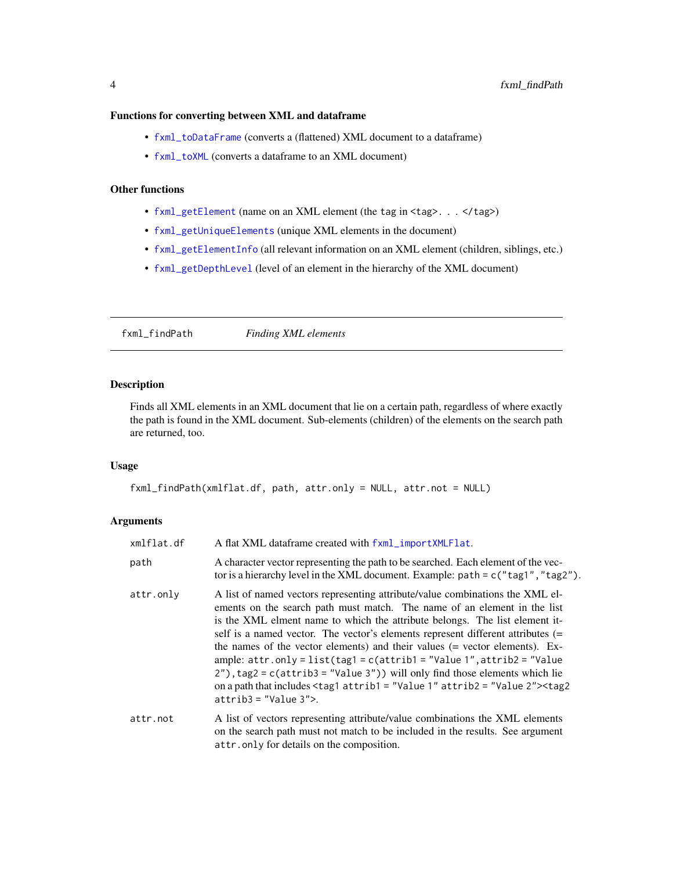#### <span id="page-3-0"></span>Functions for converting between XML and dataframe

- [fxml\\_toDataFrame](#page-28-1) (converts a (flattened) XML document to a dataframe)
- [fxml\\_toXML](#page-30-1) (converts a dataframe to an XML document)

# Other functions

- [fxml\\_getElement](#page-13-1) (name on an XML element (the tag in <tag>...</tag>)
- [fxml\\_getUniqueElements](#page-17-1) (unique XML elements in the document)
- [fxml\\_getElementInfo](#page-14-1) (all relevant information on an XML element (children, siblings, etc.)
- [fxml\\_getDepthLevel](#page-12-1) (level of an element in the hierarchy of the XML document)

<span id="page-3-1"></span>fxml\_findPath *Finding XML elements*

#### Description

Finds all XML elements in an XML document that lie on a certain path, regardless of where exactly the path is found in the XML document. Sub-elements (children) of the elements on the search path are returned, too.

# Usage

```
fxml_findPath(xmlflat.df, path, attr.only = NULL, attr.not = NULL)
```
# Arguments

| xmlflat.df | A flat XML dataframe created with fxml_importXMLFlat.                                                                                                                                                                                                                                                                                                                                                                                                                                                                                                                                                                                                                                                                                           |
|------------|-------------------------------------------------------------------------------------------------------------------------------------------------------------------------------------------------------------------------------------------------------------------------------------------------------------------------------------------------------------------------------------------------------------------------------------------------------------------------------------------------------------------------------------------------------------------------------------------------------------------------------------------------------------------------------------------------------------------------------------------------|
| path       | A character vector representing the path to be searched. Each element of the vec-<br>tor is a hierarchy level in the XML document. Example: $path = c("tag1", "tag2").$                                                                                                                                                                                                                                                                                                                                                                                                                                                                                                                                                                         |
| attr.only  | A list of named vectors representing attribute/value combinations the XML el-<br>ements on the search path must match. The name of an element in the list<br>is the XML elment name to which the attribute belongs. The list element it-<br>self is a named vector. The vector's elements represent different attributes (=<br>the names of the vector elements) and their values (= vector elements). Ex-<br>ample: $attr.outy = list(tag1 = c(atrib1 = "Value 1", attribute 2 = "Value$<br>$2'$ ), tag2 = c(attrib3 = "Value 3")) will only find those elements which lie<br>on a path that includes $\langle \text{tag} 1 \text{ attrib1} = \text{"Value 1" attrib2} = \text{"Value 2"} \rangle \langle \text{tag2}$<br>$atrib3 = "Value 3"$ |
| attr.not   | A list of vectors representing attribute/value combinations the XML elements<br>on the search path must not match to be included in the results. See argument<br>attr.only for details on the composition.                                                                                                                                                                                                                                                                                                                                                                                                                                                                                                                                      |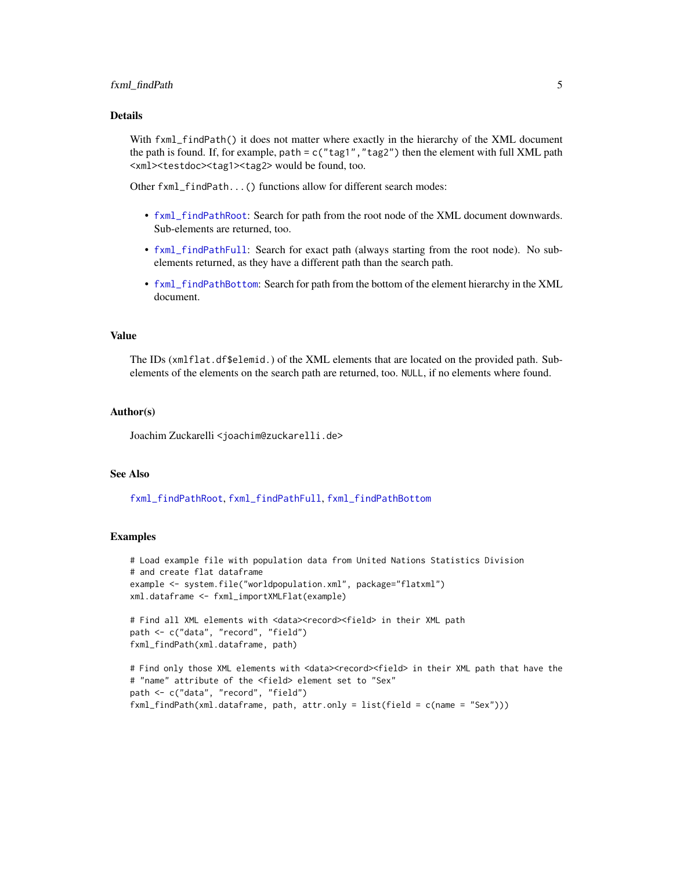## <span id="page-4-0"></span>fxml\_findPath 5

#### Details

With fxml\_findPath() it does not matter where exactly in the hierarchy of the XML document the path is found. If, for example, path =  $c("tag1", "tag2")$  then the element with full XML path <xml><testdoc><tag1><tag2> would be found, too.

Other fxml\_findPath...() functions allow for different search modes:

- [fxml\\_findPathRoot](#page-8-1): Search for path from the root node of the XML document downwards. Sub-elements are returned, too.
- [fxml\\_findPathFull](#page-6-1): Search for exact path (always starting from the root node). No subelements returned, as they have a different path than the search path.
- [fxml\\_findPathBottom](#page-5-1): Search for path from the bottom of the element hierarchy in the XML document.

#### Value

The IDs (xmlflat.df\$elemid.) of the XML elements that are located on the provided path. Subelements of the elements on the search path are returned, too. NULL, if no elements where found.

#### Author(s)

Joachim Zuckarelli <joachim@zuckarelli.de>

#### See Also

[fxml\\_findPathRoot](#page-8-1), [fxml\\_findPathFull](#page-6-1), [fxml\\_findPathBottom](#page-5-1)

```
# Load example file with population data from United Nations Statistics Division
# and create flat dataframe
example <- system.file("worldpopulation.xml", package="flatxml")
xml.dataframe <- fxml_importXMLFlat(example)
# Find all XML elements with <data><record><field> in their XML path
path <- c("data", "record", "field")
fxml_findPath(xml.dataframe, path)
# Find only those XML elements with <data><record><field> in their XML path that have the
# "name" attribute of the <field> element set to "Sex"
path <- c("data", "record", "field")
fxml_findPath(xml.dataframe, path, attr.only = list(field = c(name = "Sex")))
```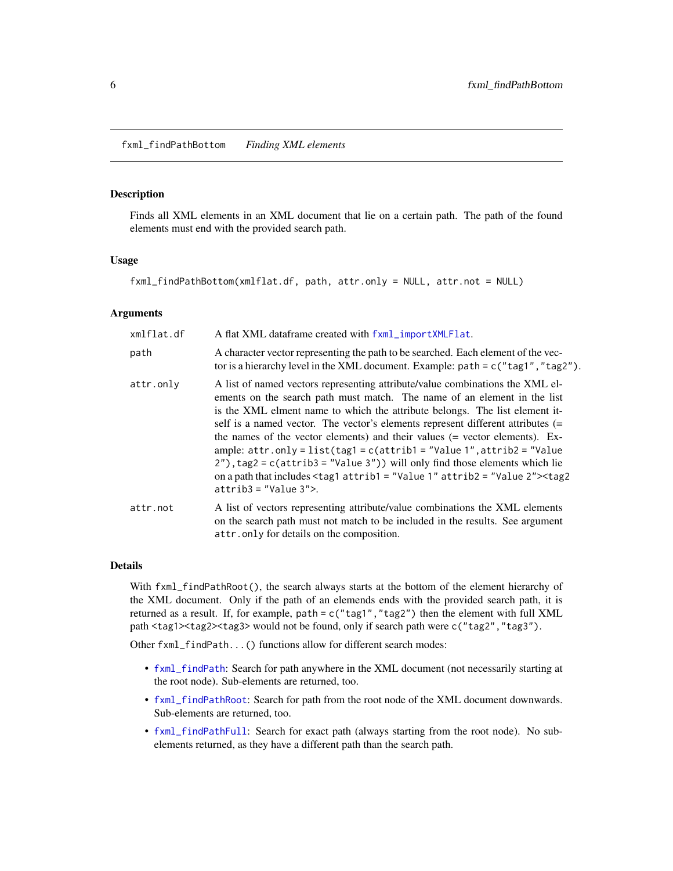<span id="page-5-1"></span><span id="page-5-0"></span>Finds all XML elements in an XML document that lie on a certain path. The path of the found elements must end with the provided search path.

#### Usage

fxml\_findPathBottom(xmlflat.df, path, attr.only = NULL, attr.not = NULL)

#### Arguments

| xmlflat.df | A flat XML dataframe created with fxml_importXMLFlat.                                                                                                                                                                                                                                                                                                                                                                                                                                                                                                                                                                                                                                                      |
|------------|------------------------------------------------------------------------------------------------------------------------------------------------------------------------------------------------------------------------------------------------------------------------------------------------------------------------------------------------------------------------------------------------------------------------------------------------------------------------------------------------------------------------------------------------------------------------------------------------------------------------------------------------------------------------------------------------------------|
| path       | A character vector representing the path to be searched. Each element of the vec-<br>tor is a hierarchy level in the XML document. Example: $path = c("tag1", "tag2").$                                                                                                                                                                                                                                                                                                                                                                                                                                                                                                                                    |
| attr.only  | A list of named vectors representing attribute/value combinations the XML el-<br>ements on the search path must match. The name of an element in the list<br>is the XML elment name to which the attribute belongs. The list element it-<br>self is a named vector. The vector's elements represent different attributes (=<br>the names of the vector elements) and their values (= vector elements). Ex-<br>ample: $attr-only = list(tag1 = c(atrib1 = "Value 1", attribute 2 = "Value$<br>$2'$ ), tag2 = c(attrib3 = "Value 3")) will only find those elements which lie<br>on a path that includes <tag1 attrib1="Value 1" attrib2="Value 2"><tag2<br><math>atrib3 = "Value 3"</math></tag2<br></tag1> |
| attr.not   | A list of vectors representing attribute/value combinations the XML elements<br>on the search path must not match to be included in the results. See argument<br>attr.only for details on the composition.                                                                                                                                                                                                                                                                                                                                                                                                                                                                                                 |

# Details

With fxml\_findPathRoot(), the search always starts at the bottom of the element hierarchy of the XML document. Only if the path of an elemends ends with the provided search path, it is returned as a result. If, for example, path =  $c("tag1", "tag2")$  then the element with full XML path <tag1><tag2><tag3> would not be found, only if search path were c("tag2", "tag3").

Other fxml\_findPath...() functions allow for different search modes:

- [fxml\\_findPath](#page-3-1): Search for path anywhere in the XML document (not necessarily starting at the root node). Sub-elements are returned, too.
- [fxml\\_findPathRoot](#page-8-1): Search for path from the root node of the XML document downwards. Sub-elements are returned, too.
- [fxml\\_findPathFull](#page-6-1): Search for exact path (always starting from the root node). No subelements returned, as they have a different path than the search path.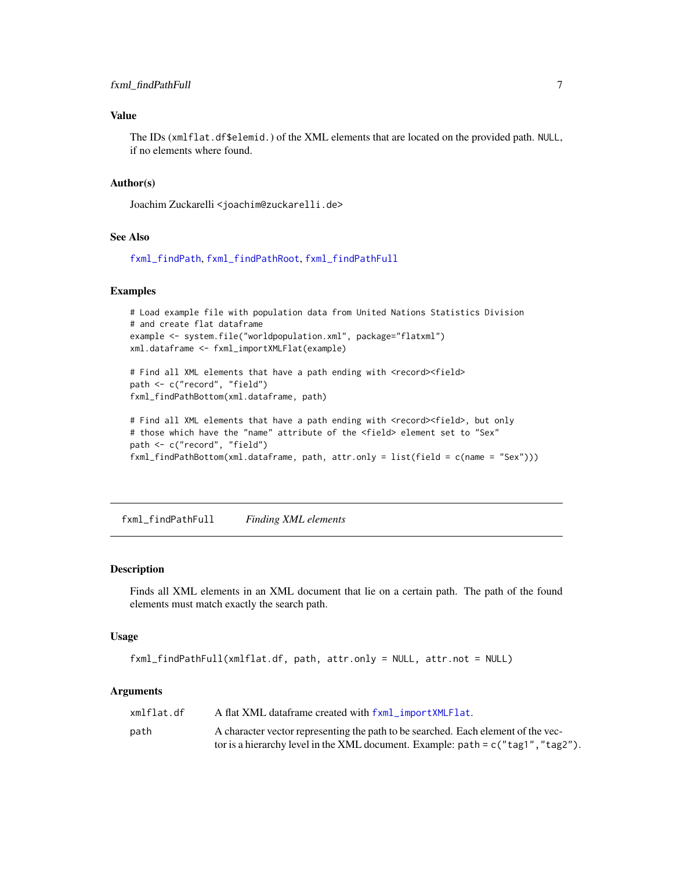# <span id="page-6-0"></span>Value

The IDs (xmlflat.df\$elemid.) of the XML elements that are located on the provided path. NULL, if no elements where found.

#### Author(s)

Joachim Zuckarelli <joachim@zuckarelli.de>

#### See Also

[fxml\\_findPath](#page-3-1), [fxml\\_findPathRoot](#page-8-1), [fxml\\_findPathFull](#page-6-1)

# Examples

```
# Load example file with population data from United Nations Statistics Division
# and create flat dataframe
example <- system.file("worldpopulation.xml", package="flatxml")
xml.dataframe <- fxml_importXMLFlat(example)
```
# Find all XML elements that have a path ending with <record><field> path <- c("record", "field") fxml\_findPathBottom(xml.dataframe, path)

```
# Find all XML elements that have a path ending with <record><field>, but only
# those which have the "name" attribute of the <field> element set to "Sex"
path <- c("record", "field")
fxml_findPathBottom(xml.dataframe, path, attr.only = list(field = c(name = "Sex")))
```
<span id="page-6-1"></span>fxml\_findPathFull *Finding XML elements*

# Description

Finds all XML elements in an XML document that lie on a certain path. The path of the found elements must match exactly the search path.

# Usage

```
fxml_findPathFull(xmlflat.df, path, attr.only = NULL, attr.not = NULL)
```
#### Arguments

| xmlflat.df | A flat XML dataframe created with fxml_importXMLFlat.                              |
|------------|------------------------------------------------------------------------------------|
| path       | A character vector representing the path to be searched. Each element of the vec-  |
|            | tor is a hierarchy level in the XML document. Example: $path = c("tag1", "tag2").$ |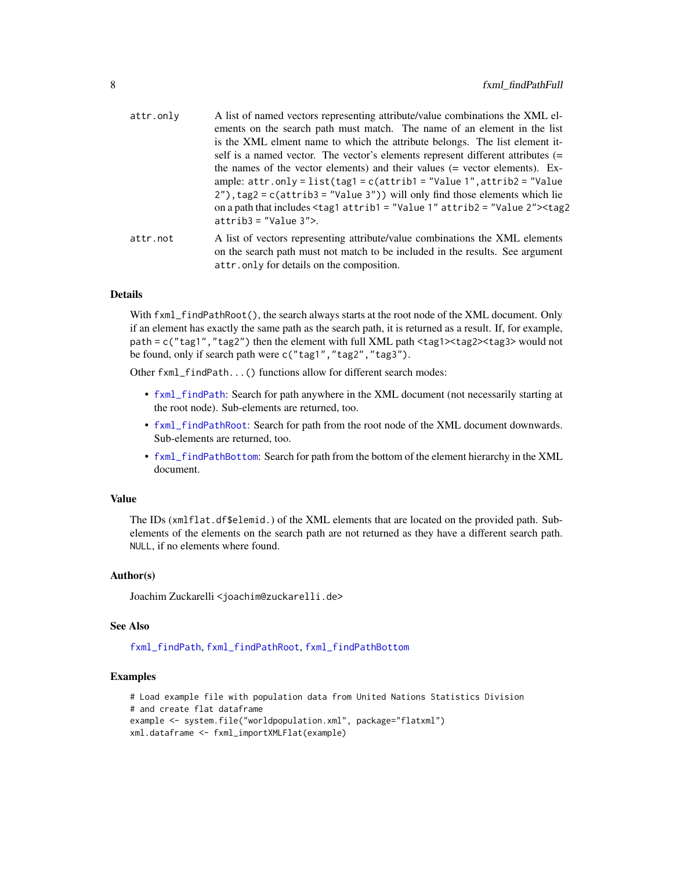<span id="page-7-0"></span>

| attr.only | A list of named vectors representing attribute/value combinations the XML el-<br>ements on the search path must match. The name of an element in the list<br>is the XML elment name to which the attribute belongs. The list element it-<br>self is a named vector. The vector's elements represent different attributes (=<br>the names of the vector elements) and their values (= vector elements). Ex-<br>ample: $attr.outy = list(tag1 = c(atrib1 = "Value 1", attrib2 = "Value$<br>$2'$ , tag2 = c(attrib3 = "Value 3")) will only find those elements which lie<br>on a path that includes $\langle \text{tag} 1 \text{ attrib1} = \text{"Value 1" attrib2} = \text{"Value 2">} \langle \text{tag2}$<br>$atrib3 = "Value 3"$ |
|-----------|-------------------------------------------------------------------------------------------------------------------------------------------------------------------------------------------------------------------------------------------------------------------------------------------------------------------------------------------------------------------------------------------------------------------------------------------------------------------------------------------------------------------------------------------------------------------------------------------------------------------------------------------------------------------------------------------------------------------------------------|
| attr.not  | A list of vectors representing attribute/value combinations the XML elements<br>on the search path must not match to be included in the results. See argument<br>attr. only for details on the composition.                                                                                                                                                                                                                                                                                                                                                                                                                                                                                                                         |

#### Details

With  $f$ xml\_findPathRoot(), the search always starts at the root node of the XML document. Only if an element has exactly the same path as the search path, it is returned as a result. If, for example, path = c("tag1","tag2") then the element with full XML path <tag1><tag2><tag3> would not be found, only if search path were c("tag1","tag2","tag3").

Other fxml\_findPath...() functions allow for different search modes:

- [fxml\\_findPath](#page-3-1): Search for path anywhere in the XML document (not necessarily starting at the root node). Sub-elements are returned, too.
- [fxml\\_findPathRoot](#page-8-1): Search for path from the root node of the XML document downwards. Sub-elements are returned, too.
- [fxml\\_findPathBottom](#page-5-1): Search for path from the bottom of the element hierarchy in the XML document.

#### Value

The IDs (xmlflat.df\$elemid.) of the XML elements that are located on the provided path. Subelements of the elements on the search path are not returned as they have a different search path. NULL, if no elements where found.

#### Author(s)

Joachim Zuckarelli <joachim@zuckarelli.de>

#### See Also

[fxml\\_findPath](#page-3-1), [fxml\\_findPathRoot](#page-8-1), [fxml\\_findPathBottom](#page-5-1)

```
# Load example file with population data from United Nations Statistics Division
# and create flat dataframe
example <- system.file("worldpopulation.xml", package="flatxml")
xml.dataframe <- fxml_importXMLFlat(example)
```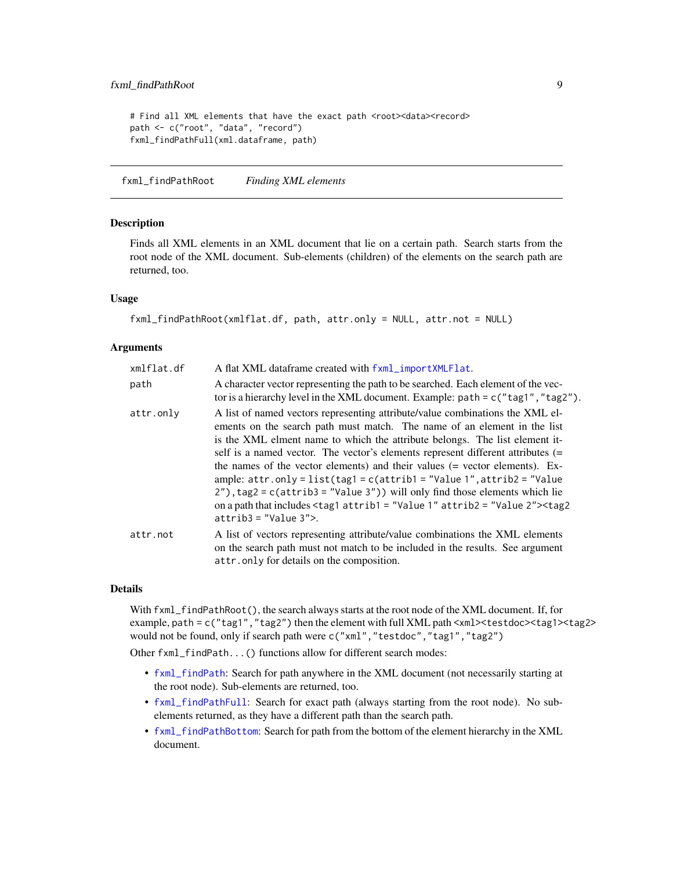```
# Find all XML elements that have the exact path <root><data><record>
path <- c("root", "data", "record")
fxml_findPathFull(xml.dataframe, path)
```
<span id="page-8-1"></span>fxml\_findPathRoot *Finding XML elements*

#### Description

Finds all XML elements in an XML document that lie on a certain path. Search starts from the root node of the XML document. Sub-elements (children) of the elements on the search path are returned, too.

#### Usage

```
fxml_findPathRoot(xmlflat.df, path, attr.only = NULL, attr.not = NULL)
```
#### Arguments

| xmlflat.df | A flat XML dataframe created with fxml_importXMLFlat.                                                                                                                                                                                                                                                                                                                                                                                                                                                                                                                                                                                                                                                                                      |
|------------|--------------------------------------------------------------------------------------------------------------------------------------------------------------------------------------------------------------------------------------------------------------------------------------------------------------------------------------------------------------------------------------------------------------------------------------------------------------------------------------------------------------------------------------------------------------------------------------------------------------------------------------------------------------------------------------------------------------------------------------------|
| path       | A character vector representing the path to be searched. Each element of the vec-<br>tor is a hierarchy level in the XML document. Example: $path = c("tag1", "tag2").$                                                                                                                                                                                                                                                                                                                                                                                                                                                                                                                                                                    |
| attr.only  | A list of named vectors representing attribute/value combinations the XML el-<br>ements on the search path must match. The name of an element in the list<br>is the XML elment name to which the attribute belongs. The list element it-<br>self is a named vector. The vector's elements represent different attributes (=<br>the names of the vector elements) and their values (= vector elements). Ex-<br>ample: $attr-only = list(tag1 = c(atrib1 = "Value 1", attribute 2 = "Value$<br>$2'$ ), tag2 = c(attrib3 = "Value $3'$ )) will only find those elements which lie<br>on a path that includes $\langle \text{tag}1 \text{ attrib1} = \text{"Value 1" attrib2} = \text{"Value 2">} \langle \text{tag2}$<br>$atrib3 = "Value 3"$ |
| attr.not   | A list of vectors representing attribute/value combinations the XML elements<br>on the search path must not match to be included in the results. See argument<br>attr.only for details on the composition.                                                                                                                                                                                                                                                                                                                                                                                                                                                                                                                                 |

#### Details

With fxml\_findPathRoot(), the search always starts at the root node of the XML document. If, for example, path = c("tag1","tag2") then the element with full XML path <xml><testdoc><tag1><tag2> would not be found, only if search path were c("xml","testdoc","tag1","tag2")

Other fxml\_findPath...() functions allow for different search modes:

- [fxml\\_findPath](#page-3-1): Search for path anywhere in the XML document (not necessarily starting at the root node). Sub-elements are returned, too.
- [fxml\\_findPathFull](#page-6-1): Search for exact path (always starting from the root node). No subelements returned, as they have a different path than the search path.
- [fxml\\_findPathBottom](#page-5-1): Search for path from the bottom of the element hierarchy in the XML document.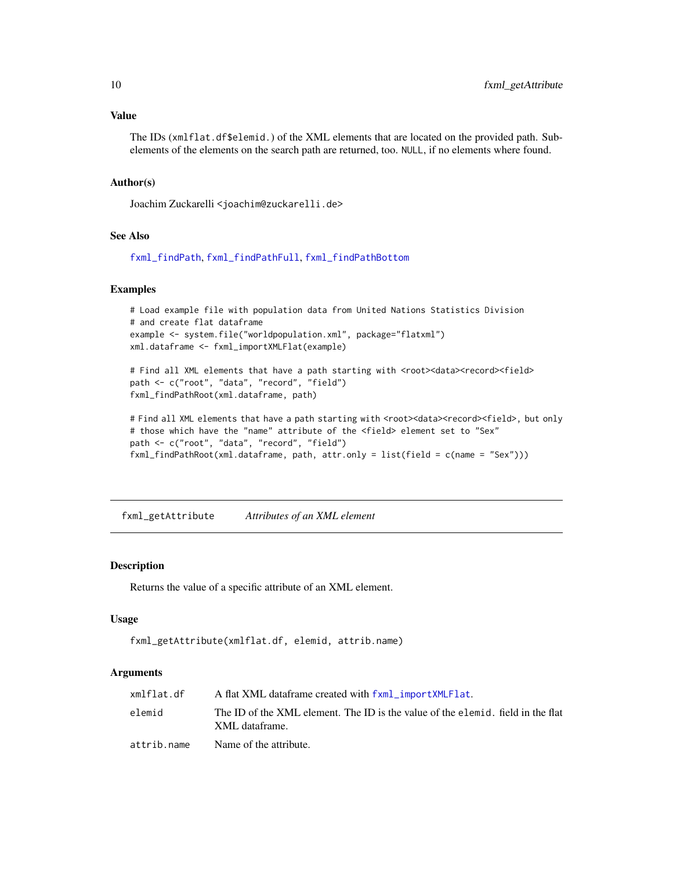# <span id="page-9-0"></span>Value

The IDs (xmlflat.df\$elemid.) of the XML elements that are located on the provided path. Subelements of the elements on the search path are returned, too. NULL, if no elements where found.

#### Author(s)

Joachim Zuckarelli <joachim@zuckarelli.de>

# See Also

[fxml\\_findPath](#page-3-1), [fxml\\_findPathFull](#page-6-1), [fxml\\_findPathBottom](#page-5-1)

#### Examples

```
# Load example file with population data from United Nations Statistics Division
# and create flat dataframe
example <- system.file("worldpopulation.xml", package="flatxml")
xml.dataframe <- fxml_importXMLFlat(example)
```

```
# Find all XML elements that have a path starting with <root><data><record><field>
path <- c("root", "data", "record", "field")
fxml_findPathRoot(xml.dataframe, path)
```

```
# Find all XML elements that have a path starting with <root><data><record><field>, but only
# those which have the "name" attribute of the <field> element set to "Sex"
path <- c("root", "data", "record", "field")
fxml_findPathRoot(xml.dataframe, path, attr.only = list(field = c(name = "Sex")))
```
<span id="page-9-1"></span>fxml\_getAttribute *Attributes of an XML element*

#### Description

Returns the value of a specific attribute of an XML element.

#### Usage

```
fxml_getAttribute(xmlflat.df, elemid, attrib.name)
```
#### Arguments

| xmlflat.df  | A flat XML dataframe created with fxml_importXMLFlat.                                             |
|-------------|---------------------------------------------------------------------------------------------------|
| elemid      | The ID of the XML element. The ID is the value of the elemid. field in the flat<br>XML dataframe. |
| attrib.name | Name of the attribute.                                                                            |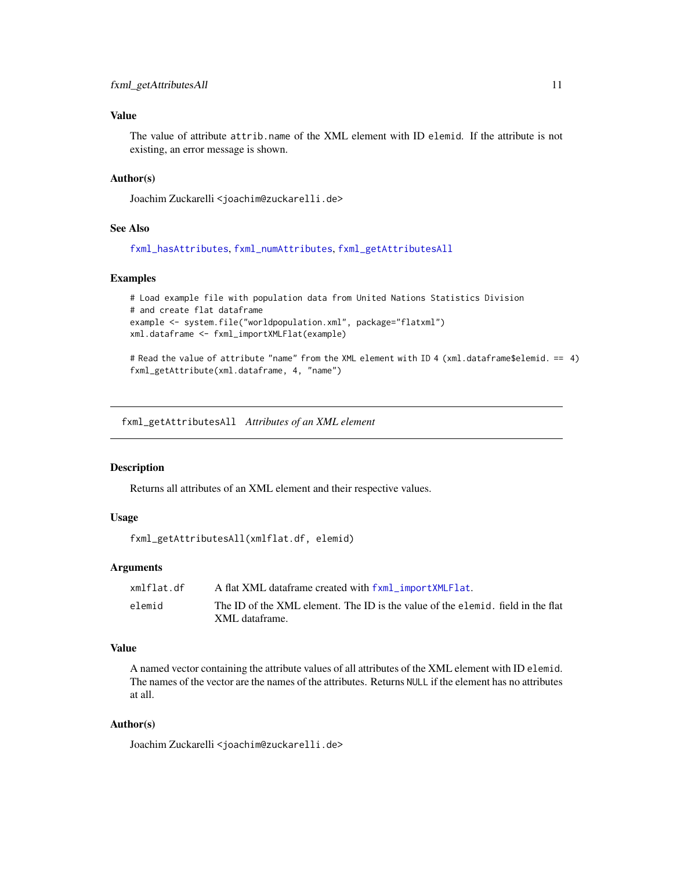# <span id="page-10-0"></span>Value

The value of attribute attrib.name of the XML element with ID elemid. If the attribute is not existing, an error message is shown.

#### Author(s)

Joachim Zuckarelli <joachim@zuckarelli.de>

#### See Also

[fxml\\_hasAttributes](#page-19-1), [fxml\\_numAttributes](#page-25-1), [fxml\\_getAttributesAll](#page-10-1)

#### Examples

```
# Load example file with population data from United Nations Statistics Division
# and create flat dataframe
example <- system.file("worldpopulation.xml", package="flatxml")
xml.dataframe <- fxml_importXMLFlat(example)
```
# Read the value of attribute "name" from the XML element with ID 4 (xml.dataframe\$elemid. == 4) fxml\_getAttribute(xml.dataframe, 4, "name")

<span id="page-10-1"></span>fxml\_getAttributesAll *Attributes of an XML element*

#### Description

Returns all attributes of an XML element and their respective values.

## Usage

```
fxml_getAttributesAll(xmlflat.df, elemid)
```
#### **Arguments**

| xmlflat.df | A flat XML dataframe created with fxml_importXMLFlat.                           |
|------------|---------------------------------------------------------------------------------|
| elemid     | The ID of the XML element. The ID is the value of the elemid, field in the flat |
|            | XML dataframe.                                                                  |

#### Value

A named vector containing the attribute values of all attributes of the XML element with ID elemid. The names of the vector are the names of the attributes. Returns NULL if the element has no attributes at all.

#### Author(s)

Joachim Zuckarelli <joachim@zuckarelli.de>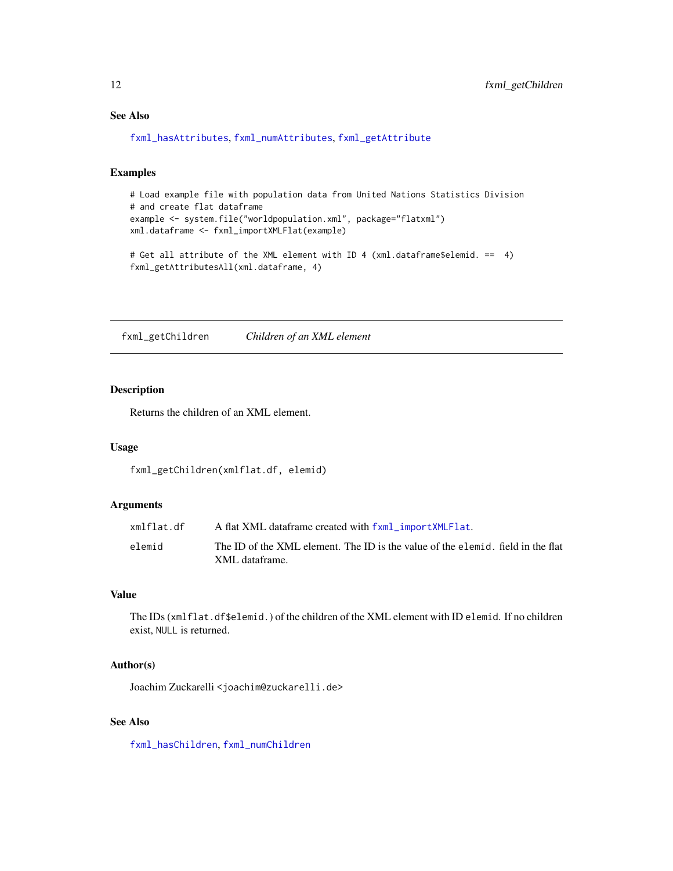# See Also

[fxml\\_hasAttributes](#page-19-1), [fxml\\_numAttributes](#page-25-1), [fxml\\_getAttribute](#page-9-1)

# Examples

```
# Load example file with population data from United Nations Statistics Division
# and create flat dataframe
example <- system.file("worldpopulation.xml", package="flatxml")
xml.dataframe <- fxml_importXMLFlat(example)
```

```
# Get all attribute of the XML element with ID 4 (xml.dataframe$elemid. == 4)
fxml_getAttributesAll(xml.dataframe, 4)
```
<span id="page-11-1"></span>fxml\_getChildren *Children of an XML element*

# Description

Returns the children of an XML element.

#### Usage

fxml\_getChildren(xmlflat.df, elemid)

#### Arguments

| xmlflat.df | A flat XML dataframe created with fxml_importXMLFlat.                                             |
|------------|---------------------------------------------------------------------------------------------------|
| elemid     | The ID of the XML element. The ID is the value of the elemid. field in the flat<br>XML dataframe. |

#### Value

The IDs (xmlflat.df\$elemid.) of the children of the XML element with ID elemid. If no children exist, NULL is returned.

#### Author(s)

Joachim Zuckarelli <joachim@zuckarelli.de>

# See Also

[fxml\\_hasChildren](#page-20-1), [fxml\\_numChildren](#page-26-1)

<span id="page-11-0"></span>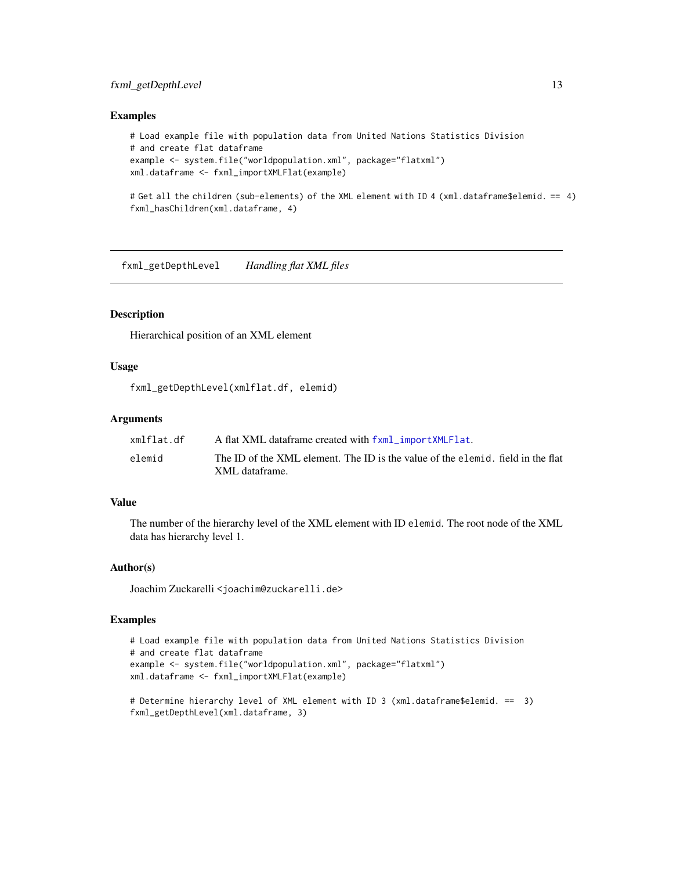# <span id="page-12-0"></span>fxml\_getDepthLevel 13

#### Examples

```
# Load example file with population data from United Nations Statistics Division
# and create flat dataframe
example <- system.file("worldpopulation.xml", package="flatxml")
xml.dataframe <- fxml_importXMLFlat(example)
```
# Get all the children (sub-elements) of the XML element with ID 4 (xml.dataframe\$elemid. == 4) fxml\_hasChildren(xml.dataframe, 4)

<span id="page-12-1"></span>fxml\_getDepthLevel *Handling flat XML files*

# Description

Hierarchical position of an XML element

# Usage

fxml\_getDepthLevel(xmlflat.df, elemid)

# Arguments

| xmlflat.df | A flat XML dataframe created with fxml_importXMLFlat.                                             |
|------------|---------------------------------------------------------------------------------------------------|
| elemid     | The ID of the XML element. The ID is the value of the elemid, field in the flat<br>XML dataframe. |

#### Value

The number of the hierarchy level of the XML element with ID elemid. The root node of the XML data has hierarchy level 1.

#### Author(s)

Joachim Zuckarelli <joachim@zuckarelli.de>

```
# Load example file with population data from United Nations Statistics Division
# and create flat dataframe
example <- system.file("worldpopulation.xml", package="flatxml")
xml.dataframe <- fxml_importXMLFlat(example)
```

```
# Determine hierarchy level of XML element with ID 3 (xml.dataframe$elemid. == 3)
fxml_getDepthLevel(xml.dataframe, 3)
```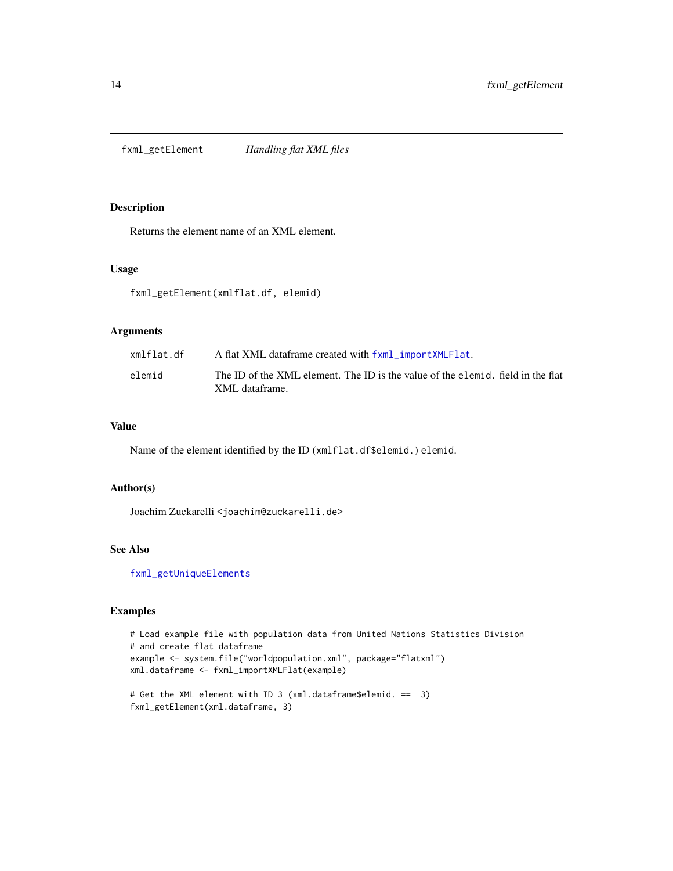<span id="page-13-1"></span><span id="page-13-0"></span>fxml\_getElement *Handling flat XML files*

#### Description

Returns the element name of an XML element.

#### Usage

fxml\_getElement(xmlflat.df, elemid)

#### Arguments

| xmlflat.df | A flat XML dataframe created with fxml_importXMLFlat.                                             |
|------------|---------------------------------------------------------------------------------------------------|
| elemid     | The ID of the XML element. The ID is the value of the elemid, field in the flat<br>XML dataframe. |

# Value

Name of the element identified by the ID (xmlflat.df\$elemid.) elemid.

#### Author(s)

Joachim Zuckarelli <joachim@zuckarelli.de>

# See Also

[fxml\\_getUniqueElements](#page-17-1)

```
# Load example file with population data from United Nations Statistics Division
# and create flat dataframe
example <- system.file("worldpopulation.xml", package="flatxml")
xml.dataframe <- fxml_importXMLFlat(example)
# Get the XML element with ID 3 (xml.dataframe$elemid. == 3)
fxml_getElement(xml.dataframe, 3)
```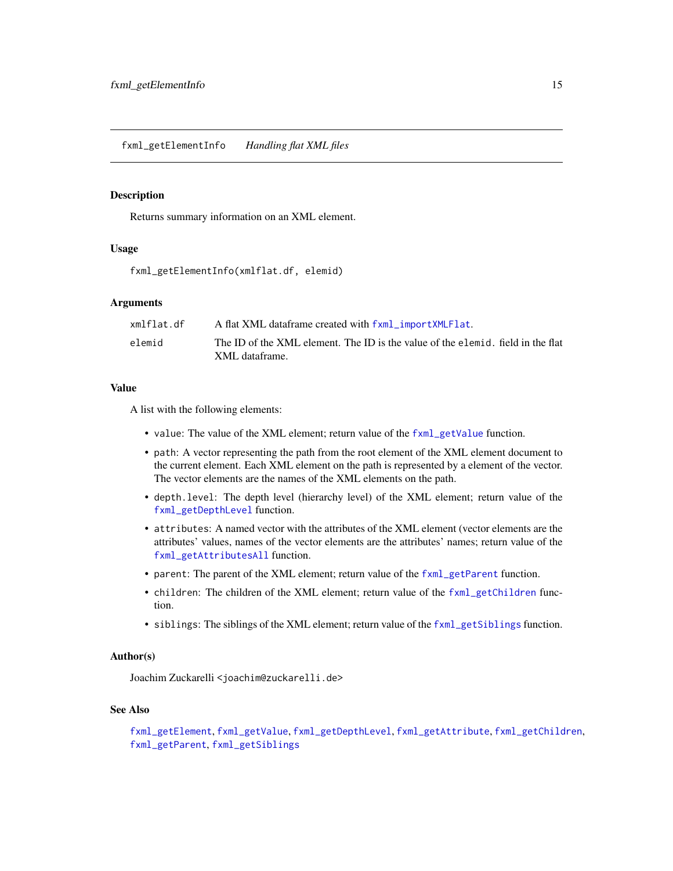<span id="page-14-1"></span><span id="page-14-0"></span>Returns summary information on an XML element.

#### Usage

fxml\_getElementInfo(xmlflat.df, elemid)

# Arguments

| xmlflat.df | A flat XML dataframe created with fxml_importXMLFlat.                                             |
|------------|---------------------------------------------------------------------------------------------------|
| elemid     | The ID of the XML element. The ID is the value of the elemid, field in the flat<br>XML dataframe. |

#### Value

A list with the following elements:

- value: The value of the XML element; return value of the [fxml\\_getValue](#page-18-1) function.
- path: A vector representing the path from the root element of the XML element document to the current element. Each XML element on the path is represented by a element of the vector. The vector elements are the names of the XML elements on the path.
- depth.level: The depth level (hierarchy level) of the XML element; return value of the [fxml\\_getDepthLevel](#page-12-1) function.
- attributes: A named vector with the attributes of the XML element (vector elements are the attributes' values, names of the vector elements are the attributes' names; return value of the [fxml\\_getAttributesAll](#page-10-1) function.
- parent: The parent of the XML element; return value of the [fxml\\_getParent](#page-15-1) function.
- children: The children of the XML element; return value of the [fxml\\_getChildren](#page-11-1) function.
- siblings: The siblings of the XML element; return value of the [fxml\\_getSiblings](#page-16-1) function.

# Author(s)

Joachim Zuckarelli <joachim@zuckarelli.de>

#### See Also

```
fxml_getElement, fxml_getValue, fxml_getDepthLevel, fxml_getAttribute, fxml_getChildren,
fxml_getParent, fxml_getSiblings
```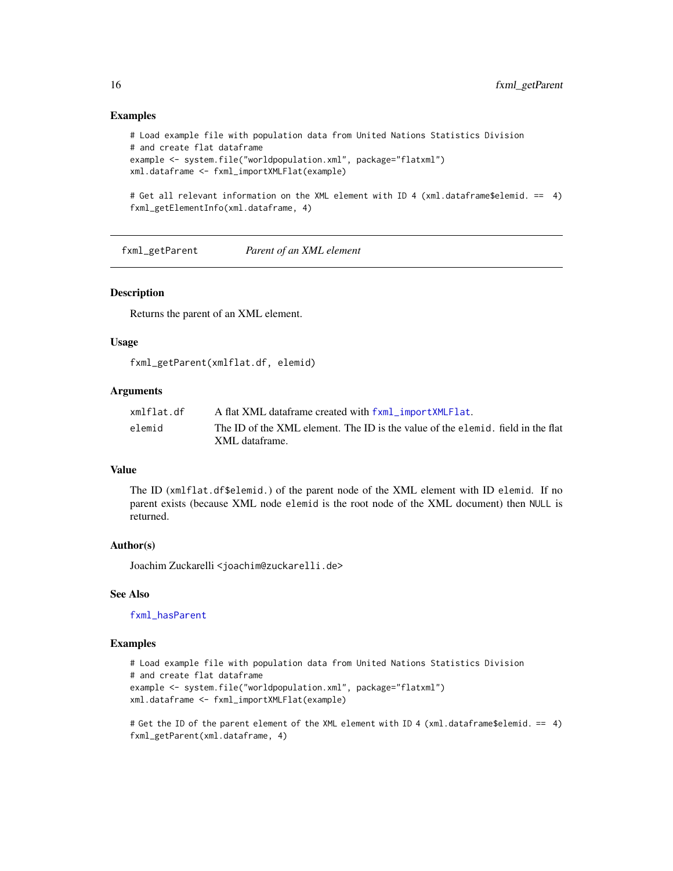#### Examples

```
# Load example file with population data from United Nations Statistics Division
# and create flat dataframe
example <- system.file("worldpopulation.xml", package="flatxml")
xml.dataframe <- fxml_importXMLFlat(example)
```
# Get all relevant information on the XML element with ID 4 (xml.dataframe\$elemid. == 4) fxml\_getElementInfo(xml.dataframe, 4)

<span id="page-15-1"></span>fxml\_getParent *Parent of an XML element*

#### Description

Returns the parent of an XML element.

#### Usage

fxml\_getParent(xmlflat.df, elemid)

#### Arguments

| xmlflat.df | A flat XML dataframe created with fxml_importXMLFlat.                                             |
|------------|---------------------------------------------------------------------------------------------------|
| elemid     | The ID of the XML element. The ID is the value of the elemid, field in the flat<br>XML dataframe. |

#### Value

The ID (xmlflat.df\$elemid.) of the parent node of the XML element with ID elemid. If no parent exists (because XML node elemid is the root node of the XML document) then NULL is returned.

#### Author(s)

Joachim Zuckarelli <joachim@zuckarelli.de>

#### See Also

[fxml\\_hasParent](#page-21-1)

#### Examples

```
# Load example file with population data from United Nations Statistics Division
# and create flat dataframe
example <- system.file("worldpopulation.xml", package="flatxml")
xml.dataframe <- fxml_importXMLFlat(example)
```
# Get the ID of the parent element of the XML element with ID 4 (xml.dataframe\$elemid. == 4) fxml\_getParent(xml.dataframe, 4)

<span id="page-15-0"></span>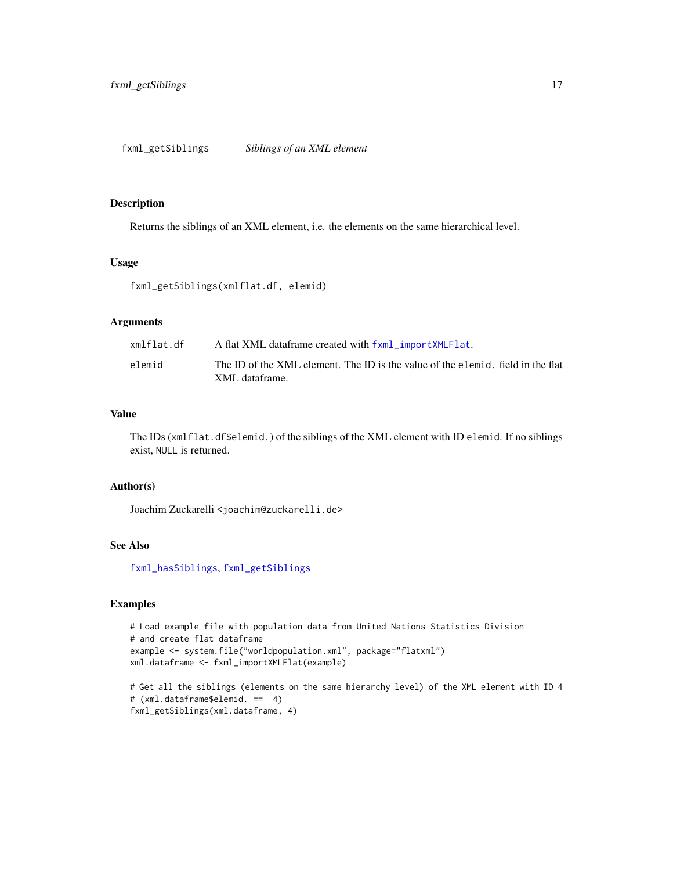<span id="page-16-1"></span><span id="page-16-0"></span>Returns the siblings of an XML element, i.e. the elements on the same hierarchical level.

#### Usage

fxml\_getSiblings(xmlflat.df, elemid)

# Arguments

| xmlflat.df | A flat XML dataframe created with fxml_importXMLFlat.                                             |
|------------|---------------------------------------------------------------------------------------------------|
| elemid     | The ID of the XML element. The ID is the value of the elemid, field in the flat<br>XML dataframe. |

#### Value

The IDs (xmlflat.df\$elemid.) of the siblings of the XML element with ID elemid. If no siblings exist, NULL is returned.

# Author(s)

Joachim Zuckarelli <joachim@zuckarelli.de>

# See Also

[fxml\\_hasSiblings](#page-22-1), [fxml\\_getSiblings](#page-16-1)

```
# Load example file with population data from United Nations Statistics Division
# and create flat dataframe
example <- system.file("worldpopulation.xml", package="flatxml")
xml.dataframe <- fxml_importXMLFlat(example)
```

```
# Get all the siblings (elements on the same hierarchy level) of the XML element with ID 4
# (xml.dataframe$elemid. == 4)
fxml_getSiblings(xml.dataframe, 4)
```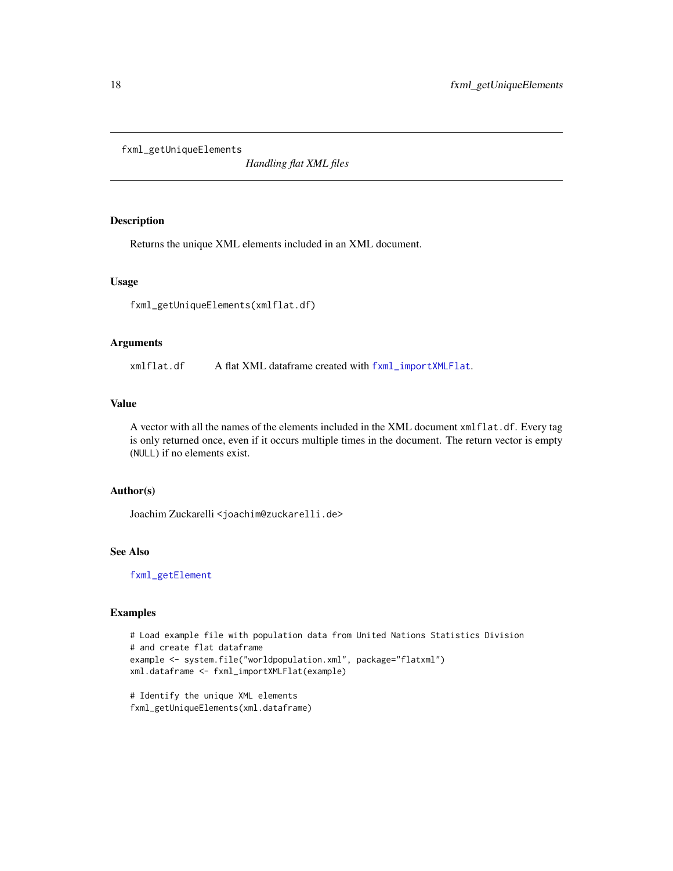<span id="page-17-1"></span><span id="page-17-0"></span>fxml\_getUniqueElements

*Handling flat XML files*

# Description

Returns the unique XML elements included in an XML document.

#### Usage

fxml\_getUniqueElements(xmlflat.df)

#### Arguments

xmlflat.df A flat XML dataframe created with [fxml\\_importXMLFlat](#page-24-1).

#### Value

A vector with all the names of the elements included in the XML document xmlflat.df. Every tag is only returned once, even if it occurs multiple times in the document. The return vector is empty (NULL) if no elements exist.

#### Author(s)

Joachim Zuckarelli <joachim@zuckarelli.de>

#### See Also

[fxml\\_getElement](#page-13-1)

#### Examples

```
# Load example file with population data from United Nations Statistics Division
# and create flat dataframe
example <- system.file("worldpopulation.xml", package="flatxml")
xml.dataframe <- fxml_importXMLFlat(example)
```
# Identify the unique XML elements fxml\_getUniqueElements(xml.dataframe)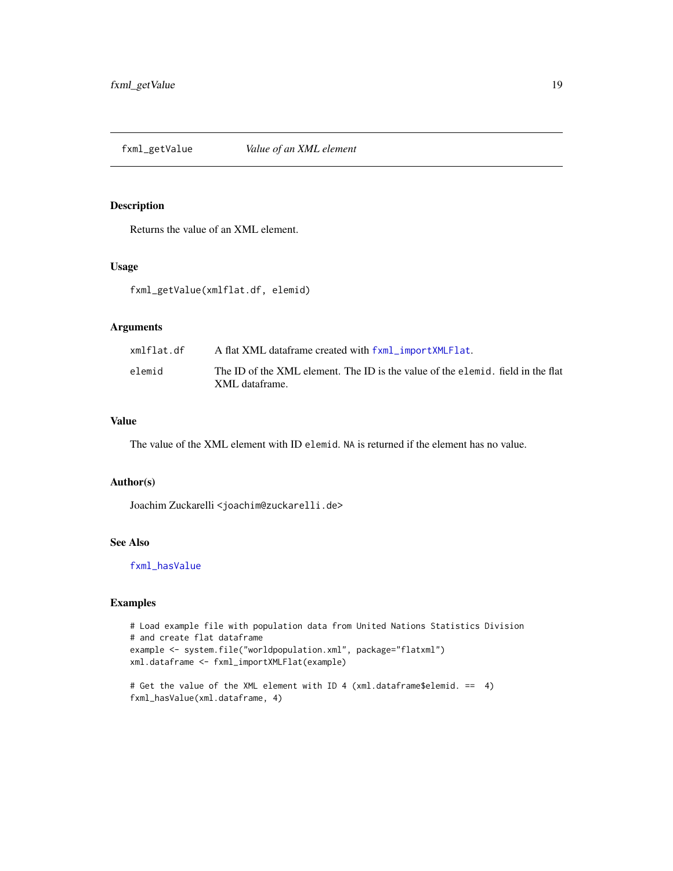<span id="page-18-1"></span><span id="page-18-0"></span>fxml\_getValue *Value of an XML element*

#### Description

Returns the value of an XML element.

# Usage

fxml\_getValue(xmlflat.df, elemid)

# Arguments

| xmlflat.df | A flat XML dataframe created with fxml_importXMLFlat.                                             |
|------------|---------------------------------------------------------------------------------------------------|
| elemid     | The ID of the XML element. The ID is the value of the elemid, field in the flat<br>XML dataframe. |
|            |                                                                                                   |

#### Value

The value of the XML element with ID elemid. NA is returned if the element has no value.

#### Author(s)

Joachim Zuckarelli <joachim@zuckarelli.de>

# See Also

[fxml\\_hasValue](#page-23-1)

```
# Load example file with population data from United Nations Statistics Division
# and create flat dataframe
example <- system.file("worldpopulation.xml", package="flatxml")
xml.dataframe <- fxml_importXMLFlat(example)
```

```
# Get the value of the XML element with ID 4 (xml.dataframe$elemid. == 4)
fxml_hasValue(xml.dataframe, 4)
```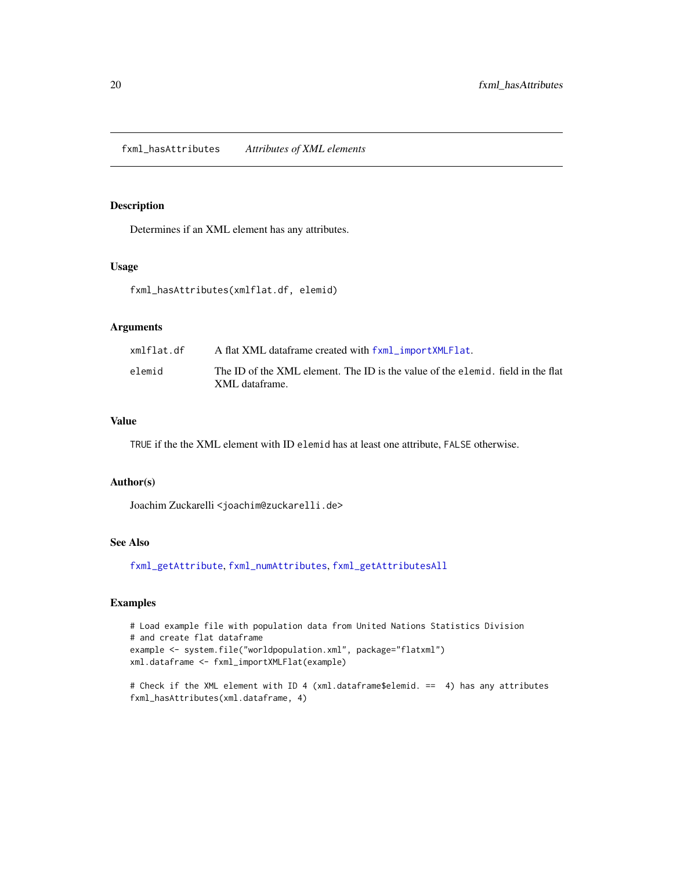<span id="page-19-1"></span><span id="page-19-0"></span>fxml\_hasAttributes *Attributes of XML elements*

# Description

Determines if an XML element has any attributes.

# Usage

fxml\_hasAttributes(xmlflat.df, elemid)

# Arguments

| xmlflat.df | A flat XML dataframe created with fxml_importXMLFlat.                           |
|------------|---------------------------------------------------------------------------------|
| elemid     | The ID of the XML element. The ID is the value of the elemid, field in the flat |
|            | XML dataframe.                                                                  |

#### Value

TRUE if the the XML element with ID elemid has at least one attribute, FALSE otherwise.

#### Author(s)

Joachim Zuckarelli <joachim@zuckarelli.de>

# See Also

[fxml\\_getAttribute](#page-9-1), [fxml\\_numAttributes](#page-25-1), [fxml\\_getAttributesAll](#page-10-1)

#### Examples

```
# Load example file with population data from United Nations Statistics Division
# and create flat dataframe
example <- system.file("worldpopulation.xml", package="flatxml")
xml.dataframe <- fxml_importXMLFlat(example)
```
# Check if the XML element with ID 4 (xml.dataframe\$elemid. == 4) has any attributes fxml\_hasAttributes(xml.dataframe, 4)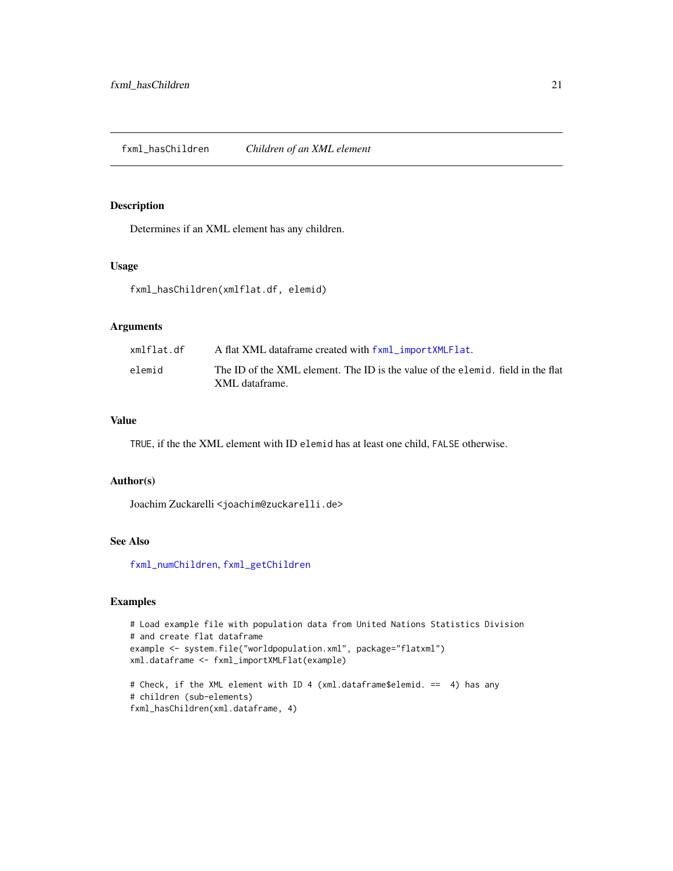<span id="page-20-1"></span><span id="page-20-0"></span>Determines if an XML element has any children.

# Usage

fxml\_hasChildren(xmlflat.df, elemid)

# Arguments

| xmlflat.df | A flat XML dataframe created with fxml_importXMLFlat.                                             |
|------------|---------------------------------------------------------------------------------------------------|
| elemid     | The ID of the XML element. The ID is the value of the elemid, field in the flat<br>XML dataframe. |

#### Value

TRUE, if the the XML element with ID elemid has at least one child, FALSE otherwise.

# Author(s)

Joachim Zuckarelli <joachim@zuckarelli.de>

# See Also

[fxml\\_numChildren](#page-26-1), [fxml\\_getChildren](#page-11-1)

# Examples

```
# Load example file with population data from United Nations Statistics Division
# and create flat dataframe
example <- system.file("worldpopulation.xml", package="flatxml")
xml.dataframe <- fxml_importXMLFlat(example)
# Check, if the XML element with ID 4 (xml.dataframe$elemid. == 4) has any
```
# children (sub-elements) fxml\_hasChildren(xml.dataframe, 4)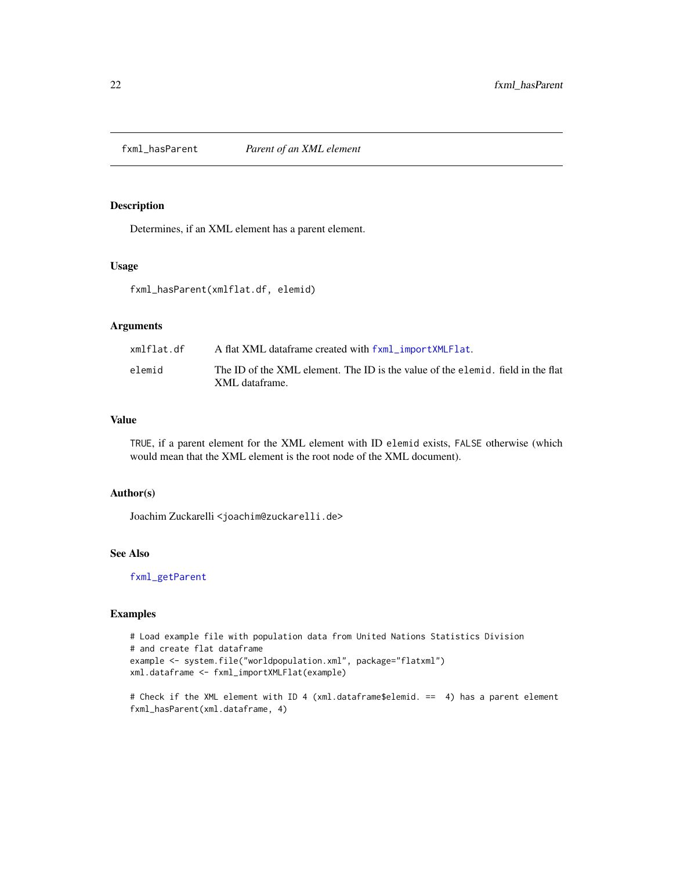<span id="page-21-1"></span><span id="page-21-0"></span>

Determines, if an XML element has a parent element.

# Usage

fxml\_hasParent(xmlflat.df, elemid)

# Arguments

| xmlflat.df | A flat XML dataframe created with fxml_importXMLFlat.                                             |
|------------|---------------------------------------------------------------------------------------------------|
| elemid     | The ID of the XML element. The ID is the value of the elemid, field in the flat<br>XML dataframe. |

#### Value

TRUE, if a parent element for the XML element with ID elemid exists, FALSE otherwise (which would mean that the XML element is the root node of the XML document).

#### Author(s)

Joachim Zuckarelli <joachim@zuckarelli.de>

# See Also

[fxml\\_getParent](#page-15-1)

```
# Load example file with population data from United Nations Statistics Division
# and create flat dataframe
example <- system.file("worldpopulation.xml", package="flatxml")
xml.dataframe <- fxml_importXMLFlat(example)
```

```
# Check if the XML element with ID 4 (xml.dataframe$elemid. == 4) has a parent element
fxml_hasParent(xml.dataframe, 4)
```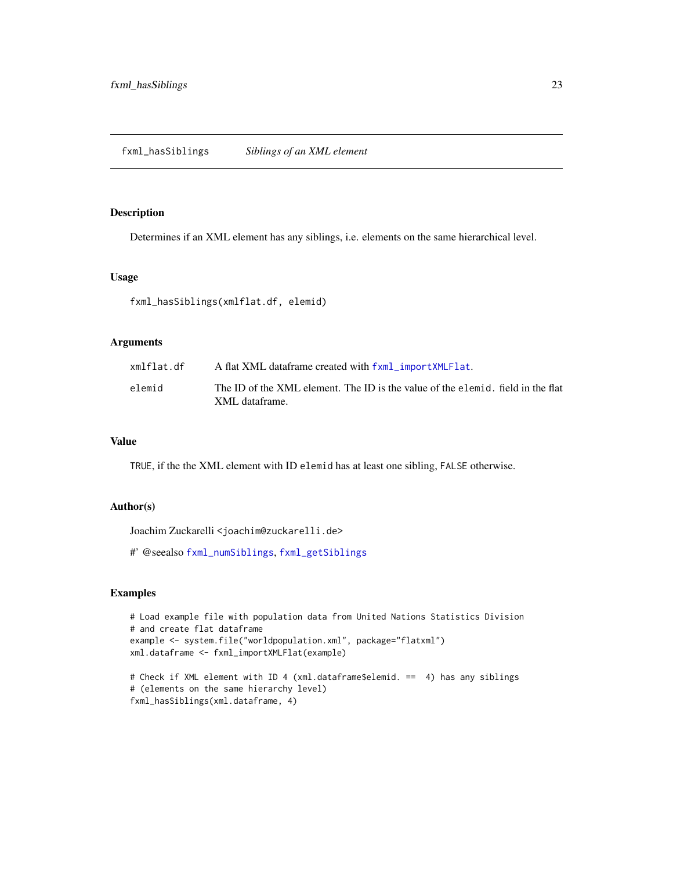<span id="page-22-1"></span><span id="page-22-0"></span>Determines if an XML element has any siblings, i.e. elements on the same hierarchical level.

#### Usage

fxml\_hasSiblings(xmlflat.df, elemid)

#### Arguments

| xmlflat.df | A flat XML dataframe created with fxml_importXMLFlat.                           |
|------------|---------------------------------------------------------------------------------|
| elemid     | The ID of the XML element. The ID is the value of the elemid, field in the flat |
|            | XML dataframe.                                                                  |

# Value

TRUE, if the the XML element with ID elemid has at least one sibling, FALSE otherwise.

#### Author(s)

Joachim Zuckarelli <joachim@zuckarelli.de>

#' @seealso [fxml\\_numSiblings](#page-27-1), [fxml\\_getSiblings](#page-16-1)

```
# Load example file with population data from United Nations Statistics Division
# and create flat dataframe
example <- system.file("worldpopulation.xml", package="flatxml")
xml.dataframe <- fxml_importXMLFlat(example)
# Check if XML element with ID 4 (xml.dataframe$elemid. == 4) has any siblings
# (elements on the same hierarchy level)
```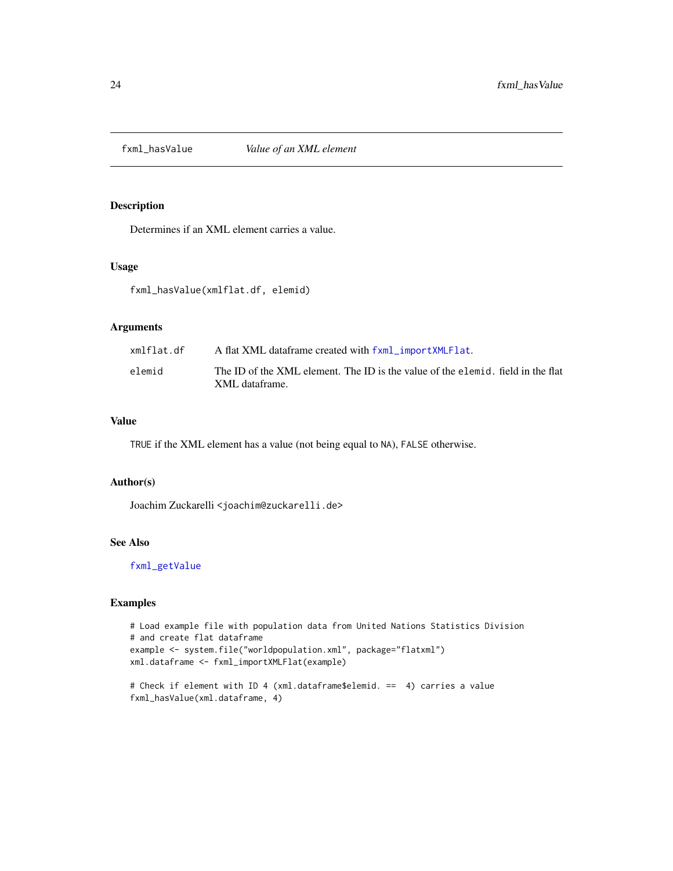<span id="page-23-1"></span><span id="page-23-0"></span>

Determines if an XML element carries a value.

# Usage

fxml\_hasValue(xmlflat.df, elemid)

# Arguments

| xmlflat.df | A flat XML dataframe created with fxml_importXMLFlat.                                             |
|------------|---------------------------------------------------------------------------------------------------|
| elemid     | The ID of the XML element. The ID is the value of the elemid, field in the flat<br>XML dataframe. |
|            |                                                                                                   |

#### Value

TRUE if the XML element has a value (not being equal to NA), FALSE otherwise.

#### Author(s)

Joachim Zuckarelli <joachim@zuckarelli.de>

# See Also

[fxml\\_getValue](#page-18-1)

```
# Load example file with population data from United Nations Statistics Division
# and create flat dataframe
example <- system.file("worldpopulation.xml", package="flatxml")
xml.dataframe <- fxml_importXMLFlat(example)
```

```
# Check if element with ID 4 (xml.dataframe$elemid. == 4) carries a value
fxml_hasValue(xml.dataframe, 4)
```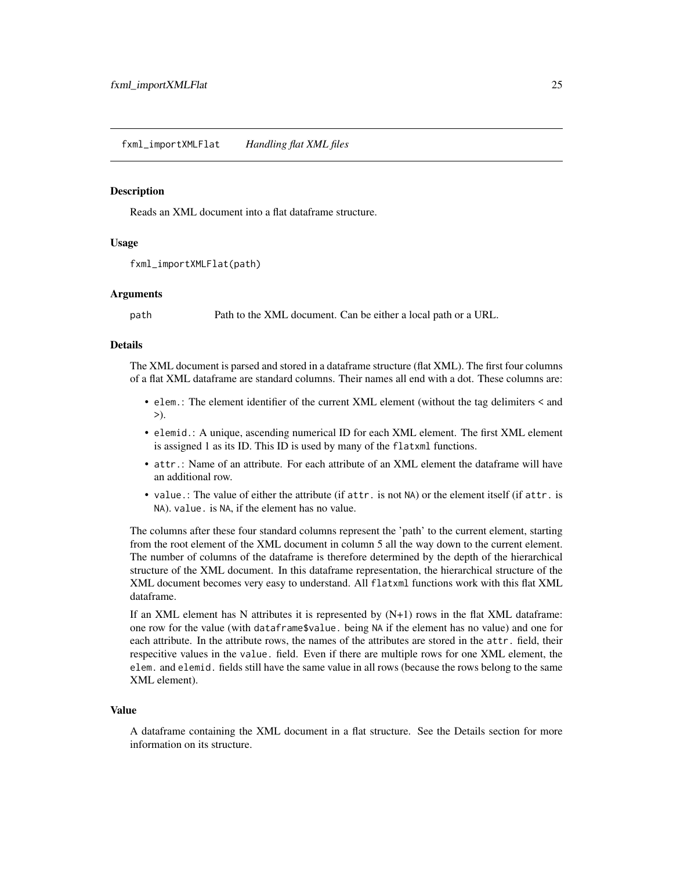<span id="page-24-1"></span><span id="page-24-0"></span>Reads an XML document into a flat dataframe structure.

#### Usage

```
fxml_importXMLFlat(path)
```
#### Arguments

path Path to the XML document. Can be either a local path or a URL.

#### Details

The XML document is parsed and stored in a dataframe structure (flat XML). The first four columns of a flat XML dataframe are standard columns. Their names all end with a dot. These columns are:

- elem.: The element identifier of the current XML element (without the tag delimiters < and >).
- elemid.: A unique, ascending numerical ID for each XML element. The first XML element is assigned 1 as its ID. This ID is used by many of the flatxml functions.
- attr.: Name of an attribute. For each attribute of an XML element the dataframe will have an additional row.
- value.: The value of either the attribute (if attr. is not NA) or the element itself (if attr. is NA). value. is NA, if the element has no value.

The columns after these four standard columns represent the 'path' to the current element, starting from the root element of the XML document in column 5 all the way down to the current element. The number of columns of the dataframe is therefore determined by the depth of the hierarchical structure of the XML document. In this dataframe representation, the hierarchical structure of the XML document becomes very easy to understand. All flatxml functions work with this flat XML dataframe.

If an XML element has N attributes it is represented by  $(N+1)$  rows in the flat XML dataframe: one row for the value (with dataframe\$value. being NA if the element has no value) and one for each attribute. In the attribute rows, the names of the attributes are stored in the attr. field, their respecitive values in the value. field. Even if there are multiple rows for one XML element, the elem. and elemid. fields still have the same value in all rows (because the rows belong to the same XML element).

#### Value

A dataframe containing the XML document in a flat structure. See the Details section for more information on its structure.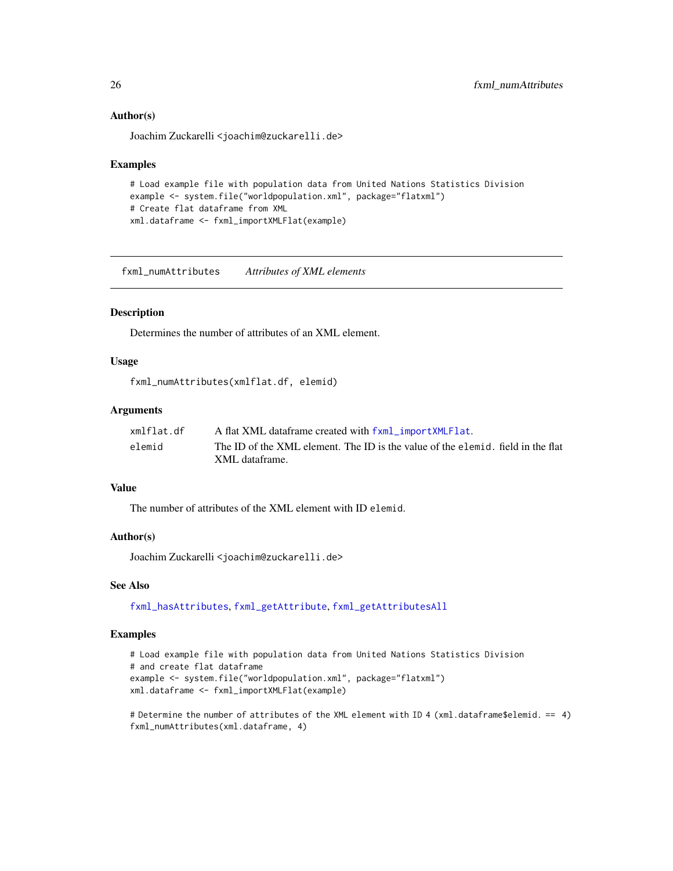#### <span id="page-25-0"></span>Author(s)

Joachim Zuckarelli <joachim@zuckarelli.de>

#### Examples

```
# Load example file with population data from United Nations Statistics Division
example <- system.file("worldpopulation.xml", package="flatxml")
# Create flat dataframe from XML
xml.dataframe <- fxml_importXMLFlat(example)
```
<span id="page-25-1"></span>fxml\_numAttributes *Attributes of XML elements*

#### Description

Determines the number of attributes of an XML element.

#### Usage

fxml\_numAttributes(xmlflat.df, elemid)

# Arguments

| xmlflat.df | A flat XML dataframe created with fxml_importXMLFlat.                           |
|------------|---------------------------------------------------------------------------------|
| elemid     | The ID of the XML element. The ID is the value of the elemid, field in the flat |
|            | XML dataframe.                                                                  |

#### Value

The number of attributes of the XML element with ID elemid.

#### Author(s)

Joachim Zuckarelli <joachim@zuckarelli.de>

# See Also

[fxml\\_hasAttributes](#page-19-1), [fxml\\_getAttribute](#page-9-1), [fxml\\_getAttributesAll](#page-10-1)

# Examples

```
# Load example file with population data from United Nations Statistics Division
# and create flat dataframe
example <- system.file("worldpopulation.xml", package="flatxml")
xml.dataframe <- fxml_importXMLFlat(example)
```
# Determine the number of attributes of the XML element with ID 4 (xml.dataframe\$elemid. == 4) fxml\_numAttributes(xml.dataframe, 4)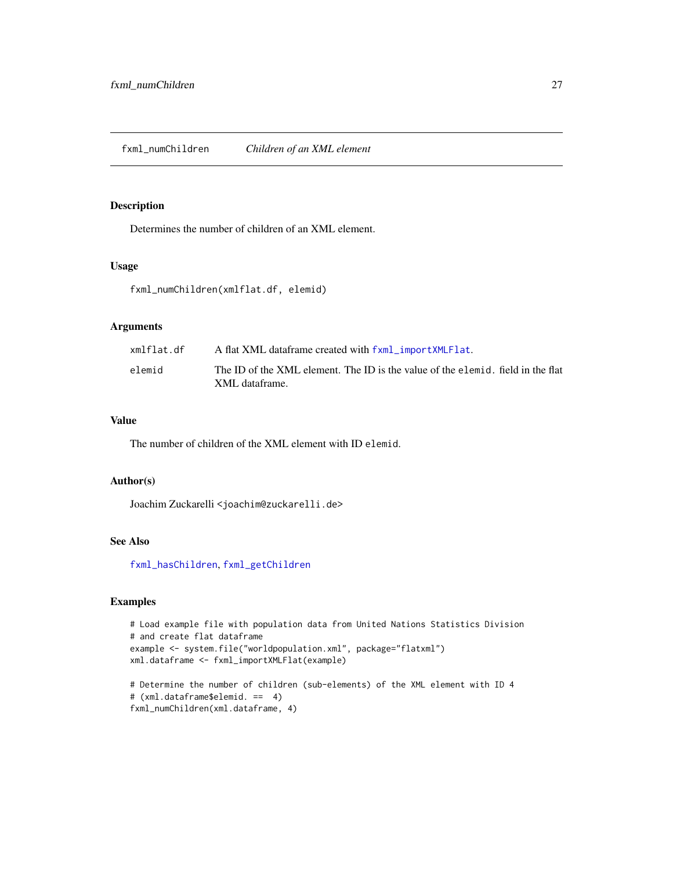<span id="page-26-1"></span><span id="page-26-0"></span>Determines the number of children of an XML element.

# Usage

fxml\_numChildren(xmlflat.df, elemid)

# Arguments

| xmlflat.df | A flat XML dataframe created with fxml_importXMLFlat.                                             |
|------------|---------------------------------------------------------------------------------------------------|
| elemid     | The ID of the XML element. The ID is the value of the elemid, field in the flat<br>XML dataframe. |

#### Value

The number of children of the XML element with ID elemid.

# Author(s)

Joachim Zuckarelli <joachim@zuckarelli.de>

# See Also

[fxml\\_hasChildren](#page-20-1), [fxml\\_getChildren](#page-11-1)

```
# Load example file with population data from United Nations Statistics Division
# and create flat dataframe
example <- system.file("worldpopulation.xml", package="flatxml")
xml.dataframe <- fxml_importXMLFlat(example)
```

```
# Determine the number of children (sub-elements) of the XML element with ID 4
# (xml.dataframe$elemid. == 4)
fxml_numChildren(xml.dataframe, 4)
```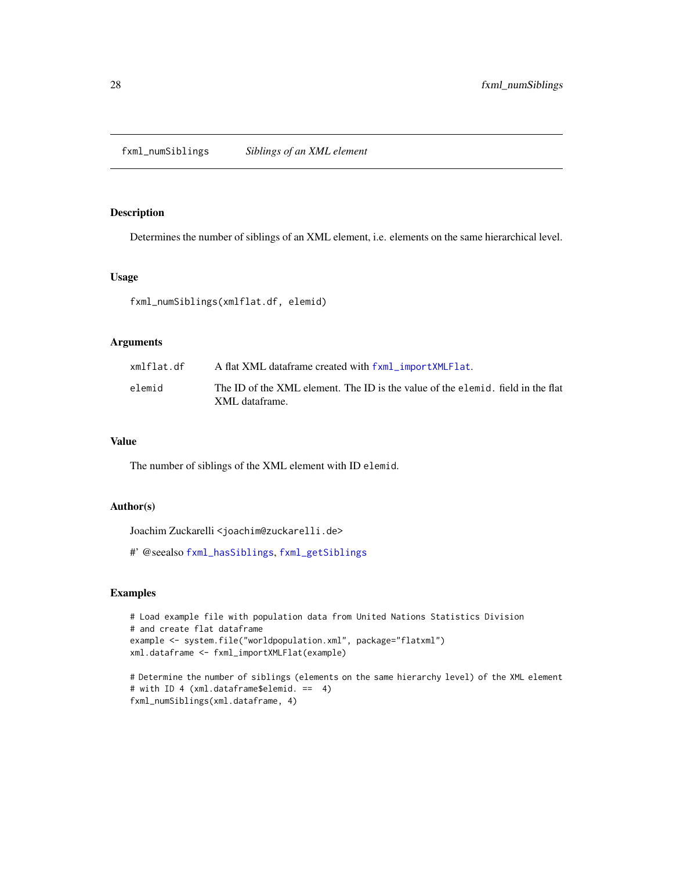<span id="page-27-1"></span><span id="page-27-0"></span>fxml\_numSiblings *Siblings of an XML element*

# Description

Determines the number of siblings of an XML element, i.e. elements on the same hierarchical level.

# Usage

fxml\_numSiblings(xmlflat.df, elemid)

#### Arguments

| xmlflat.df | A flat XML dataframe created with fxml_importXMLFlat.                           |
|------------|---------------------------------------------------------------------------------|
| elemid     | The ID of the XML element. The ID is the value of the elemid. field in the flat |
|            | XML dataframe.                                                                  |

# Value

The number of siblings of the XML element with ID elemid.

#### Author(s)

Joachim Zuckarelli <joachim@zuckarelli.de>

#' @seealso [fxml\\_hasSiblings](#page-22-1), [fxml\\_getSiblings](#page-16-1)

```
# Load example file with population data from United Nations Statistics Division
# and create flat dataframe
example <- system.file("worldpopulation.xml", package="flatxml")
xml.dataframe <- fxml_importXMLFlat(example)
# Determine the number of siblings (elements on the same hierarchy level) of the XML element
```

```
# with ID 4 (xml.dataframe$elemid. == 4)
fxml_numSiblings(xml.dataframe, 4)
```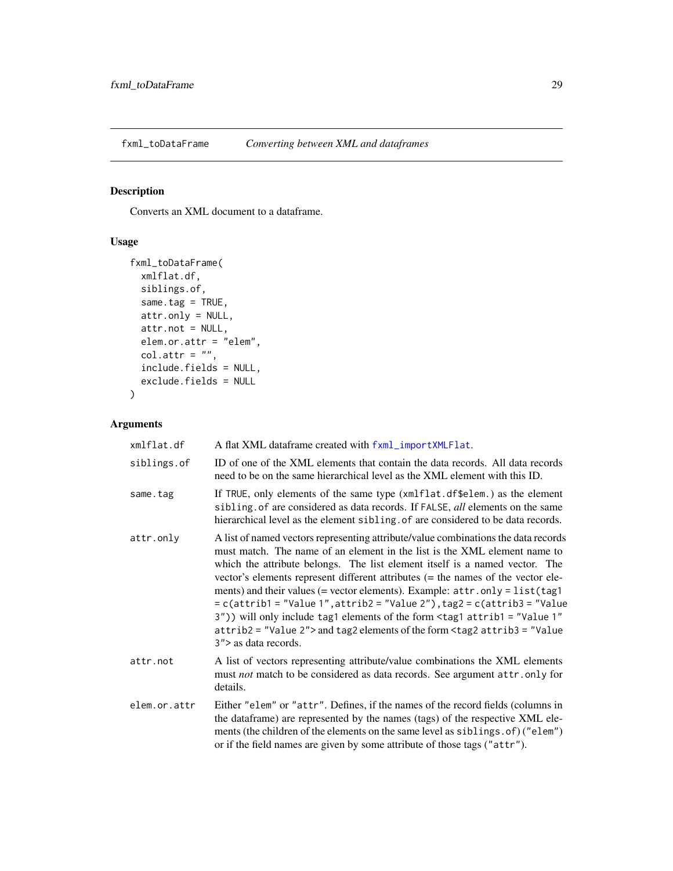<span id="page-28-1"></span><span id="page-28-0"></span>

Converts an XML document to a dataframe.

# Usage

```
fxml_toDataFrame(
 xmlflat.df,
  siblings.of,
 same.tag = TRUE,
 attr.only = NULL,
 attr.not = NULL,
 elem.or.attr = "elem",
 col.attr = ",
  include.fields = NULL,
 exclude.fields = NULL
\mathcal{L}
```
# Arguments

| xmlflat.df   | A flat XML dataframe created with fxml_importXMLFlat.                                                                                                                                                                                                                                                                                                                                                                                                                                                                                                                                                                                                                                                   |
|--------------|---------------------------------------------------------------------------------------------------------------------------------------------------------------------------------------------------------------------------------------------------------------------------------------------------------------------------------------------------------------------------------------------------------------------------------------------------------------------------------------------------------------------------------------------------------------------------------------------------------------------------------------------------------------------------------------------------------|
| siblings.of  | ID of one of the XML elements that contain the data records. All data records<br>need to be on the same hierarchical level as the XML element with this ID.                                                                                                                                                                                                                                                                                                                                                                                                                                                                                                                                             |
| same.tag     | If TRUE, only elements of the same type (xmlflat.df\$elem.) as the element<br>sibling of are considered as data records. If FALSE, all elements on the same<br>hierarchical level as the element sibling of are considered to be data records.                                                                                                                                                                                                                                                                                                                                                                                                                                                          |
| attr.only    | A list of named vectors representing attribute/value combinations the data records<br>must match. The name of an element in the list is the XML element name to<br>which the attribute belongs. The list element itself is a named vector. The<br>vector's elements represent different attributes (= the names of the vector ele-<br>ments) and their values (= vector elements). Example: attr.only = list(tag1<br>= c(attrib1 = "Value 1", attrib2 = "Value 2"), tag2 = c(attrib3 = "Value<br>3")) will only include tag1 elements of the form <tag1 <br="" attrib1="Value 1">attrib2 = "Value 2"&gt; and tag2 elements of the form <tag2 attrib3="Value&lt;br&gt;3"> as data records.</tag2></tag1> |
| attr.not     | A list of vectors representing attribute/value combinations the XML elements<br>must not match to be considered as data records. See argument attr.only for<br>details.                                                                                                                                                                                                                                                                                                                                                                                                                                                                                                                                 |
| elem.or.attr | Either "elem" or "attr". Defines, if the names of the record fields (columns in<br>the dataframe) are represented by the names (tags) of the respective XML ele-<br>ments (the children of the elements on the same level as siblings. of) ("elem")<br>or if the field names are given by some attribute of those tags ("attr").                                                                                                                                                                                                                                                                                                                                                                        |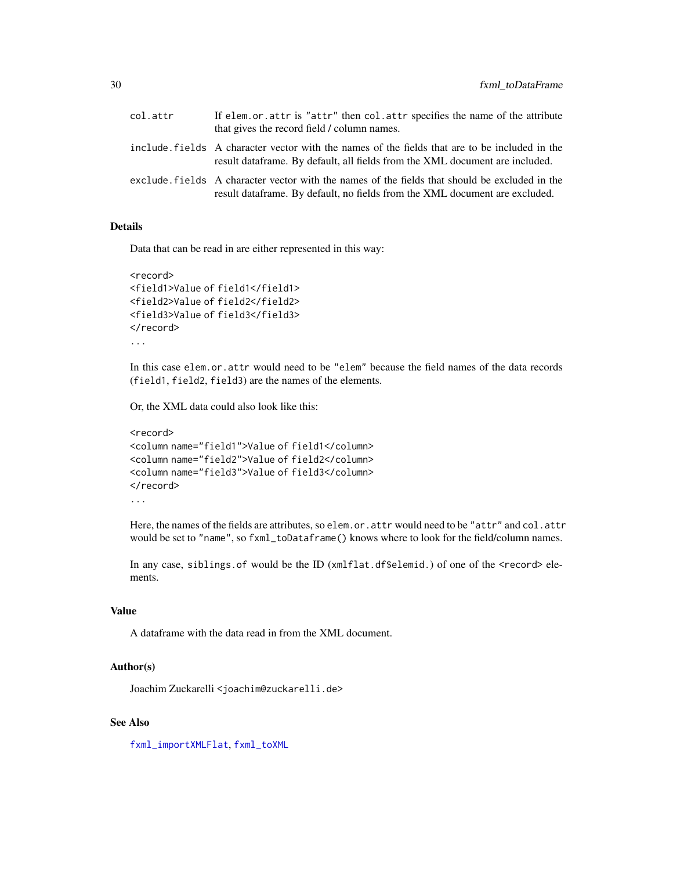<span id="page-29-0"></span>

| col.attr | If elem.or.attr is "attr" then col.attr specifies the name of the attribute<br>that gives the record field / column names.                                                     |
|----------|--------------------------------------------------------------------------------------------------------------------------------------------------------------------------------|
|          | include fields A character vector with the names of the fields that are to be included in the<br>result data frame. By default, all fields from the XML document are included. |
|          | exclude fields A character vector with the names of the fields that should be excluded in the<br>result data frame. By default, no fields from the XML document are excluded.  |

#### Details

Data that can be read in are either represented in this way:

```
<record>
<field1>Value of field1</field1>
<field2>Value of field2</field2>
<field3>Value of field3</field3>
</record>
...
```
In this case elem.or.attr would need to be "elem" because the field names of the data records (field1, field2, field3) are the names of the elements.

Or, the XML data could also look like this:

```
<record>
<column name="field1">Value of field1</column>
<column name="field2">Value of field2</column>
<column name="field3">Value of field3</column>
</record>
...
```
Here, the names of the fields are attributes, so elem.or.attr would need to be "attr" and col.attr would be set to "name", so fxml\_toDataframe() knows where to look for the field/column names.

In any case, siblings.of would be the ID (xmlflat.df\$elemid.) of one of the <record> elements.

# Value

A dataframe with the data read in from the XML document.

#### Author(s)

Joachim Zuckarelli <joachim@zuckarelli.de>

#### See Also

[fxml\\_importXMLFlat](#page-24-1), [fxml\\_toXML](#page-30-1)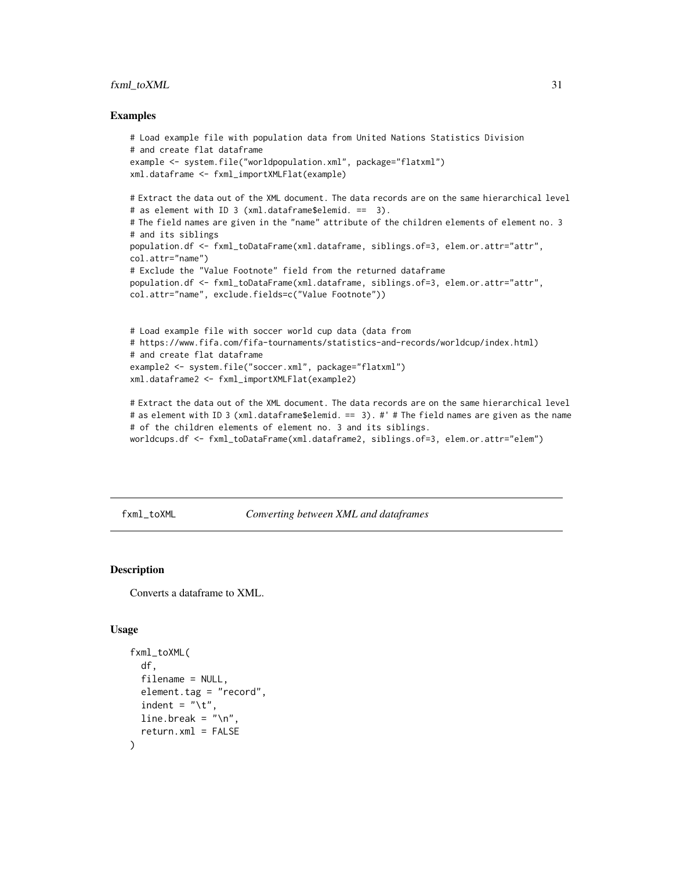# <span id="page-30-0"></span>fxml\_toXML 31

#### Examples

```
# Load example file with population data from United Nations Statistics Division
# and create flat dataframe
example <- system.file("worldpopulation.xml", package="flatxml")
xml.dataframe <- fxml_importXMLFlat(example)
# Extract the data out of the XML document. The data records are on the same hierarchical level
# as element with ID 3 (xml.dataframe$elemid. == 3).
# The field names are given in the "name" attribute of the children elements of element no. 3
# and its siblings
population.df <- fxml_toDataFrame(xml.dataframe, siblings.of=3, elem.or.attr="attr",
col.attr="name")
# Exclude the "Value Footnote" field from the returned dataframe
population.df <- fxml_toDataFrame(xml.dataframe, siblings.of=3, elem.or.attr="attr",
col.attr="name", exclude.fields=c("Value Footnote"))
# Load example file with soccer world cup data (data from
# https://www.fifa.com/fifa-tournaments/statistics-and-records/worldcup/index.html)
# and create flat dataframe
example2 <- system.file("soccer.xml", package="flatxml")
xml.dataframe2 <- fxml_importXMLFlat(example2)
# Extract the data out of the XML document. The data records are on the same hierarchical level
# as element with ID 3 (xml.dataframe$elemid. == 3). #' # The field names are given as the name
# of the children elements of element no. 3 and its siblings.
```

```
worldcups.df <- fxml_toDataFrame(xml.dataframe2, siblings.of=3, elem.or.attr="elem")
```
<span id="page-30-1"></span>fxml\_toXML *Converting between XML and dataframes*

# **Description**

Converts a dataframe to XML.

#### Usage

```
fxml_toXML(
  df,
  filename = NULL,
  element.tag = "record",
  indent = "\iotat",
  line.break = " \n\ln",
  return.xml = FALSE
)
```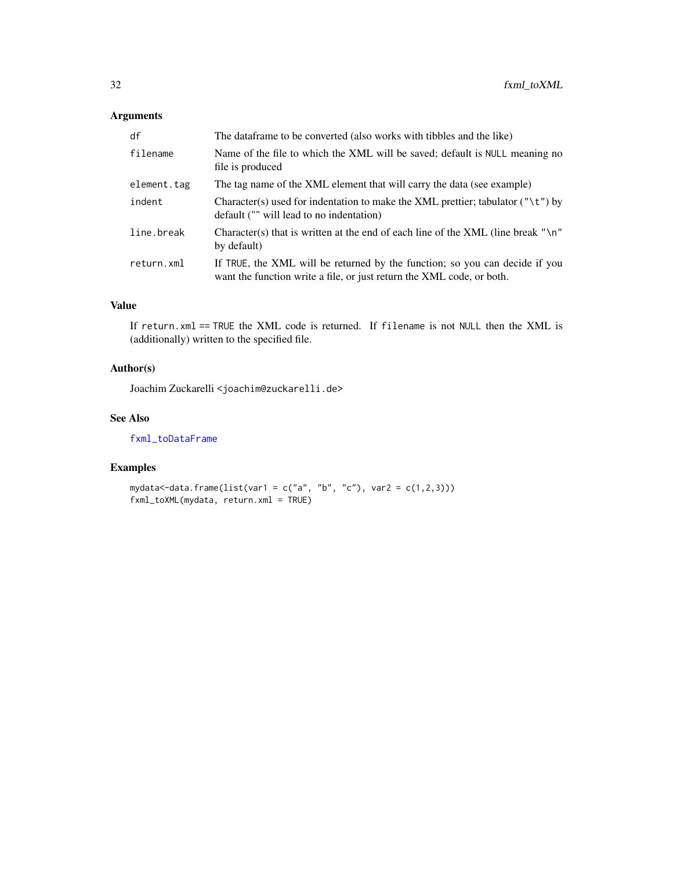# <span id="page-31-0"></span>Arguments

| df          | The dataframe to be converted (also works with tibbles and the like)                                                                                 |
|-------------|------------------------------------------------------------------------------------------------------------------------------------------------------|
| filename    | Name of the file to which the XML will be saved; default is NULL meaning no<br>file is produced                                                      |
| element.tag | The tag name of the XML element that will carry the data (see example)                                                                               |
| indent      | Character(s) used for indentation to make the XML prettier; tabulator (" $\setminus t$ ") by<br>default ("" will lead to no indentation)             |
| line.break  | Character(s) that is written at the end of each line of the XML (line break " $\n\cdot$ "<br>by default)                                             |
| return.xml  | If TRUE, the XML will be returned by the function; so you can decide if you<br>want the function write a file, or just return the XML code, or both. |

# Value

If return.xml == TRUE the XML code is returned. If filename is not NULL then the XML is (additionally) written to the specified file.

# Author(s)

Joachim Zuckarelli <joachim@zuckarelli.de>

# See Also

[fxml\\_toDataFrame](#page-28-1)

# Examples

 $mydata < -data.formatDist(var1 = c("a", "b", "c"), var2 = c(1,2,3)))$ fxml\_toXML(mydata, return.xml = TRUE)